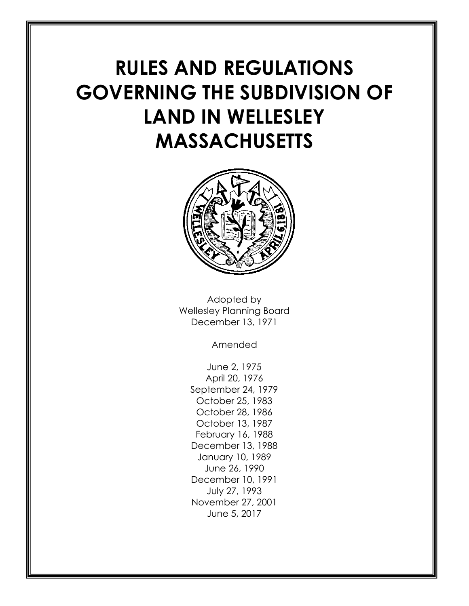# **RULES AND REGULATIONS GOVERNING THE SUBDIVISION OF LAND IN WELLESLEY MASSACHUSETTS**



Adopted by Wellesley Planning Board December 13, 1971

Amended

June 2, 1975 April 20, 1976 September 24, 1979 October 25, 1983 October 28, 1986 October 13, 1987 February 16, 1988 December 13, 1988 January 10, 1989 June 26, 1990 December 10, 1991 July 27, 1993 November 27, 2001 June 5, 2017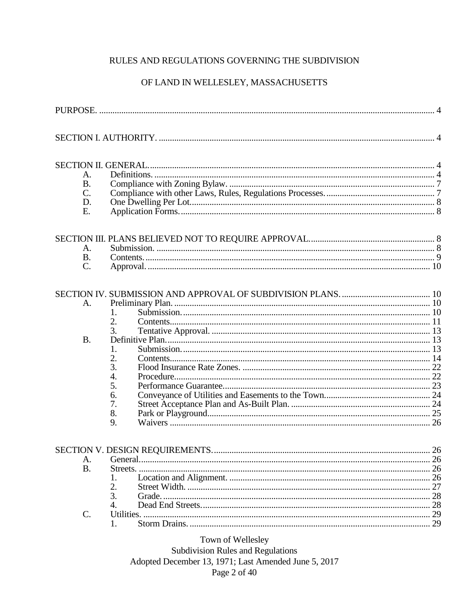## RULES AND REGULATIONS GOVERNING THE SUBDIVISION

## OF LAND IN WELLESLEY, MASSACHUSETTS

| A.              |                                                                      |          |
|-----------------|----------------------------------------------------------------------|----------|
| <b>B.</b>       |                                                                      |          |
| $\mathcal{C}$ . |                                                                      |          |
| D.              |                                                                      |          |
| E.              |                                                                      |          |
|                 |                                                                      |          |
| A.              |                                                                      |          |
| <b>B.</b>       |                                                                      |          |
| $\mathcal{C}$ . |                                                                      |          |
| A.<br><b>B.</b> | 1.<br>2.<br>3.<br>1.<br>2.<br>3.<br>4.<br>5.<br>6.<br>7.<br>8.<br>9. | 22<br>26 |
|                 |                                                                      | 26       |
| A.              |                                                                      | 26       |
| <b>B.</b>       |                                                                      | 26       |
|                 | 1.                                                                   | 26       |
|                 | 2.                                                                   | 27       |
|                 | 3.                                                                   | 28       |
|                 | 4.                                                                   | 28       |
| $\mathcal{C}$ . |                                                                      | 29       |
|                 | 1.                                                                   | 29       |
|                 |                                                                      |          |

Town of Wellesley

**Subdivision Rules and Regulations** Adopted December 13, 1971; Last Amended June 5, 2017 Page 2 of 40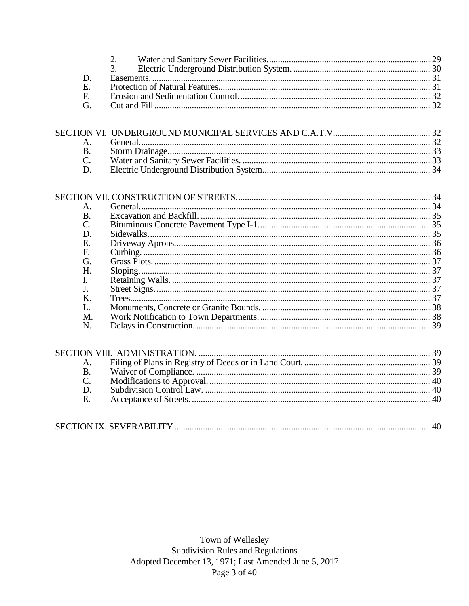| E            |  |
|--------------|--|
| $\mathbf{F}$ |  |
|              |  |

| А. |  |
|----|--|
| B. |  |
|    |  |
| D. |  |
| Е. |  |
| F. |  |
| G. |  |
| Н. |  |
|    |  |
|    |  |
| K. |  |
|    |  |
| M. |  |
| N. |  |

| $\mathsf{A}_{\cdot}$ |  |
|----------------------|--|
| <b>B.</b>            |  |
| $\mathsf{C}$         |  |
| D                    |  |
| $\mathbf{E}$         |  |
|                      |  |

|--|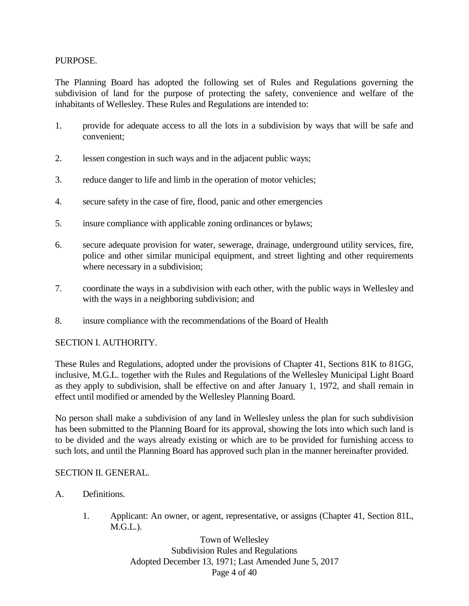#### PURPOSE.

The Planning Board has adopted the following set of Rules and Regulations governing the subdivision of land for the purpose of protecting the safety, convenience and welfare of the inhabitants of Wellesley. These Rules and Regulations are intended to:

- 1. provide for adequate access to all the lots in a subdivision by ways that will be safe and convenient;
- 2. lessen congestion in such ways and in the adjacent public ways;
- 3. reduce danger to life and limb in the operation of motor vehicles;
- 4. secure safety in the case of fire, flood, panic and other emergencies
- 5. insure compliance with applicable zoning ordinances or bylaws;
- 6. secure adequate provision for water, sewerage, drainage, underground utility services, fire, police and other similar municipal equipment, and street lighting and other requirements where necessary in a subdivision;
- 7. coordinate the ways in a subdivision with each other, with the public ways in Wellesley and with the ways in a neighboring subdivision; and
- 8. insure compliance with the recommendations of the Board of Health

#### SECTION I. AUTHORITY.

These Rules and Regulations, adopted under the provisions of Chapter 41, Sections 81K to 81GG, inclusive, M.G.L. together with the Rules and Regulations of the Wellesley Municipal Light Board as they apply to subdivision, shall be effective on and after January 1, 1972, and shall remain in effect until modified or amended by the Wellesley Planning Board.

No person shall make a subdivision of any land in Wellesley unless the plan for such subdivision has been submitted to the Planning Board for its approval, showing the lots into which such land is to be divided and the ways already existing or which are to be provided for furnishing access to such lots, and until the Planning Board has approved such plan in the manner hereinafter provided.

#### SECTION II. GENERAL.

- A. Definitions.
	- 1. Applicant: An owner, or agent, representative, or assigns (Chapter 41, Section 81L, M.G.L.).

Town of Wellesley Subdivision Rules and Regulations Adopted December 13, 1971; Last Amended June 5, 2017 Page 4 of 40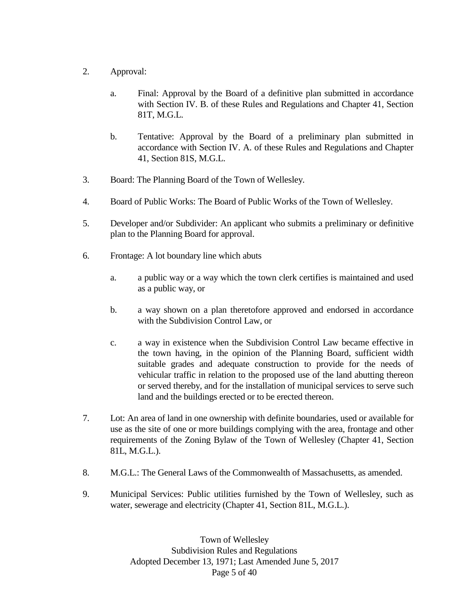- 2. Approval:
	- a. Final: Approval by the Board of a definitive plan submitted in accordance with Section IV. B. of these Rules and Regulations and Chapter 41, Section 81T, M.G.L.
	- b. Tentative: Approval by the Board of a preliminary plan submitted in accordance with Section IV. A. of these Rules and Regulations and Chapter 41, Section 81S, M.G.L.
- 3. Board: The Planning Board of the Town of Wellesley.
- 4. Board of Public Works: The Board of Public Works of the Town of Wellesley.
- 5. Developer and/or Subdivider: An applicant who submits a preliminary or definitive plan to the Planning Board for approval.
- 6. Frontage: A lot boundary line which abuts
	- a. a public way or a way which the town clerk certifies is maintained and used as a public way, or
	- b. a way shown on a plan theretofore approved and endorsed in accordance with the Subdivision Control Law, or
	- c. a way in existence when the Subdivision Control Law became effective in the town having, in the opinion of the Planning Board, sufficient width suitable grades and adequate construction to provide for the needs of vehicular traffic in relation to the proposed use of the land abutting thereon or served thereby, and for the installation of municipal services to serve such land and the buildings erected or to be erected thereon.
- 7. Lot: An area of land in one ownership with definite boundaries, used or available for use as the site of one or more buildings complying with the area, frontage and other requirements of the Zoning Bylaw of the Town of Wellesley (Chapter 41, Section 81L, M.G.L.).
- 8. M.G.L.: The General Laws of the Commonwealth of Massachusetts, as amended.
- 9. Municipal Services: Public utilities furnished by the Town of Wellesley, such as water, sewerage and electricity (Chapter 41, Section 81L, M.G.L.).

Town of Wellesley Subdivision Rules and Regulations Adopted December 13, 1971; Last Amended June 5, 2017 Page 5 of 40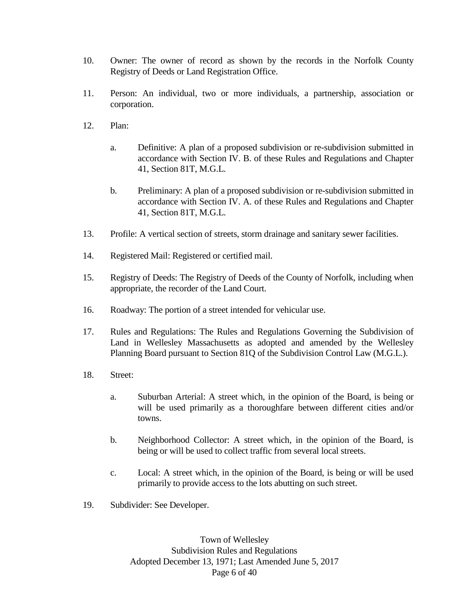- 10. Owner: The owner of record as shown by the records in the Norfolk County Registry of Deeds or Land Registration Office.
- 11. Person: An individual, two or more individuals, a partnership, association or corporation.
- 12. Plan:
	- a. Definitive: A plan of a proposed subdivision or re-subdivision submitted in accordance with Section IV. B. of these Rules and Regulations and Chapter 41, Section 81T, M.G.L.
	- b. Preliminary: A plan of a proposed subdivision or re-subdivision submitted in accordance with Section IV. A. of these Rules and Regulations and Chapter 41, Section 81T, M.G.L.
- 13. Profile: A vertical section of streets, storm drainage and sanitary sewer facilities.
- 14. Registered Mail: Registered or certified mail.
- 15. Registry of Deeds: The Registry of Deeds of the County of Norfolk, including when appropriate, the recorder of the Land Court.
- 16. Roadway: The portion of a street intended for vehicular use.
- 17. Rules and Regulations: The Rules and Regulations Governing the Subdivision of Land in Wellesley Massachusetts as adopted and amended by the Wellesley Planning Board pursuant to Section 81Q of the Subdivision Control Law (M.G.L.).
- 18. Street:
	- a. Suburban Arterial: A street which, in the opinion of the Board, is being or will be used primarily as a thoroughfare between different cities and/or towns.
	- b. Neighborhood Collector: A street which, in the opinion of the Board, is being or will be used to collect traffic from several local streets.
	- c. Local: A street which, in the opinion of the Board, is being or will be used primarily to provide access to the lots abutting on such street.
- 19. Subdivider: See Developer.

Town of Wellesley Subdivision Rules and Regulations Adopted December 13, 1971; Last Amended June 5, 2017 Page 6 of 40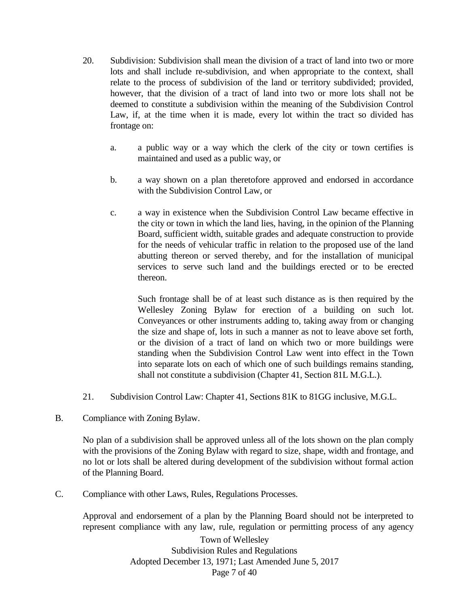- 20. Subdivision: Subdivision shall mean the division of a tract of land into two or more lots and shall include re-subdivision, and when appropriate to the context, shall relate to the process of subdivision of the land or territory subdivided; provided, however, that the division of a tract of land into two or more lots shall not be deemed to constitute a subdivision within the meaning of the Subdivision Control Law, if, at the time when it is made, every lot within the tract so divided has frontage on:
	- a. a public way or a way which the clerk of the city or town certifies is maintained and used as a public way, or
	- b. a way shown on a plan theretofore approved and endorsed in accordance with the Subdivision Control Law, or
	- c. a way in existence when the Subdivision Control Law became effective in the city or town in which the land lies, having, in the opinion of the Planning Board, sufficient width, suitable grades and adequate construction to provide for the needs of vehicular traffic in relation to the proposed use of the land abutting thereon or served thereby, and for the installation of municipal services to serve such land and the buildings erected or to be erected thereon.

Such frontage shall be of at least such distance as is then required by the Wellesley Zoning Bylaw for erection of a building on such lot. Conveyances or other instruments adding to, taking away from or changing the size and shape of, lots in such a manner as not to leave above set forth, or the division of a tract of land on which two or more buildings were standing when the Subdivision Control Law went into effect in the Town into separate lots on each of which one of such buildings remains standing, shall not constitute a subdivision (Chapter 41, Section 81L M.G.L.).

- 21. Subdivision Control Law: Chapter 41, Sections 81K to 81GG inclusive, M.G.L.
- B. Compliance with Zoning Bylaw.

No plan of a subdivision shall be approved unless all of the lots shown on the plan comply with the provisions of the Zoning Bylaw with regard to size, shape, width and frontage, and no lot or lots shall be altered during development of the subdivision without formal action of the Planning Board.

C. Compliance with other Laws, Rules, Regulations Processes.

Approval and endorsement of a plan by the Planning Board should not be interpreted to represent compliance with any law, rule, regulation or permitting process of any agency

> Town of Wellesley Subdivision Rules and Regulations Adopted December 13, 1971; Last Amended June 5, 2017 Page 7 of 40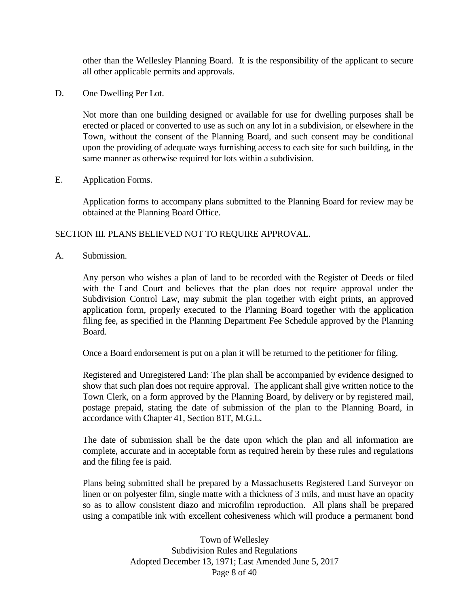other than the Wellesley Planning Board. It is the responsibility of the applicant to secure all other applicable permits and approvals.

D. One Dwelling Per Lot.

Not more than one building designed or available for use for dwelling purposes shall be erected or placed or converted to use as such on any lot in a subdivision, or elsewhere in the Town, without the consent of the Planning Board, and such consent may be conditional upon the providing of adequate ways furnishing access to each site for such building, in the same manner as otherwise required for lots within a subdivision.

E. Application Forms.

Application forms to accompany plans submitted to the Planning Board for review may be obtained at the Planning Board Office.

#### SECTION III. PLANS BELIEVED NOT TO REQUIRE APPROVAL.

A. Submission.

Any person who wishes a plan of land to be recorded with the Register of Deeds or filed with the Land Court and believes that the plan does not require approval under the Subdivision Control Law, may submit the plan together with eight prints, an approved application form, properly executed to the Planning Board together with the application filing fee, as specified in the Planning Department Fee Schedule approved by the Planning Board.

Once a Board endorsement is put on a plan it will be returned to the petitioner for filing.

Registered and Unregistered Land: The plan shall be accompanied by evidence designed to show that such plan does not require approval. The applicant shall give written notice to the Town Clerk, on a form approved by the Planning Board, by delivery or by registered mail, postage prepaid, stating the date of submission of the plan to the Planning Board, in accordance with Chapter 41, Section 81T, M.G.L.

The date of submission shall be the date upon which the plan and all information are complete, accurate and in acceptable form as required herein by these rules and regulations and the filing fee is paid.

Plans being submitted shall be prepared by a Massachusetts Registered Land Surveyor on linen or on polyester film, single matte with a thickness of 3 mils, and must have an opacity so as to allow consistent diazo and microfilm reproduction. All plans shall be prepared using a compatible ink with excellent cohesiveness which will produce a permanent bond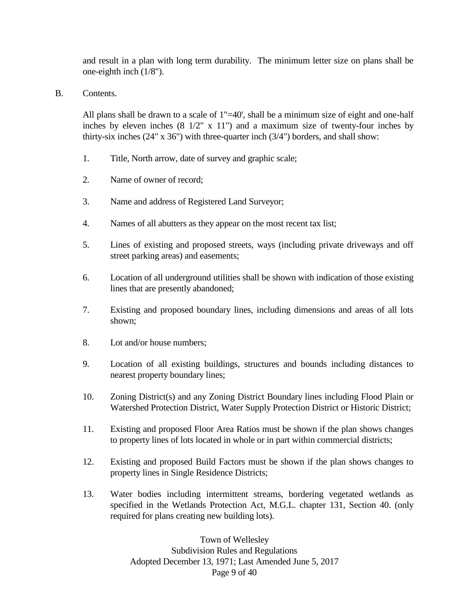and result in a plan with long term durability. The minimum letter size on plans shall be one-eighth inch (1/8").

B. Contents.

All plans shall be drawn to a scale of 1"=40', shall be a minimum size of eight and one-half inches by eleven inches  $(8 \frac{1}{2}$ " x 11") and a maximum size of twenty-four inches by thirty-six inches (24" x 36") with three-quarter inch (3/4") borders, and shall show:

- 1. Title, North arrow, date of survey and graphic scale;
- 2. Name of owner of record;
- 3. Name and address of Registered Land Surveyor;
- 4. Names of all abutters as they appear on the most recent tax list;
- 5. Lines of existing and proposed streets, ways (including private driveways and off street parking areas) and easements;
- 6. Location of all underground utilities shall be shown with indication of those existing lines that are presently abandoned;
- 7. Existing and proposed boundary lines, including dimensions and areas of all lots shown;
- 8. Lot and/or house numbers;
- 9. Location of all existing buildings, structures and bounds including distances to nearest property boundary lines;
- 10. Zoning District(s) and any Zoning District Boundary lines including Flood Plain or Watershed Protection District, Water Supply Protection District or Historic District;
- 11. Existing and proposed Floor Area Ratios must be shown if the plan shows changes to property lines of lots located in whole or in part within commercial districts;
- 12. Existing and proposed Build Factors must be shown if the plan shows changes to property lines in Single Residence Districts;
- 13. Water bodies including intermittent streams, bordering vegetated wetlands as specified in the Wetlands Protection Act, M.G.L. chapter 131, Section 40. (only required for plans creating new building lots).

Town of Wellesley Subdivision Rules and Regulations Adopted December 13, 1971; Last Amended June 5, 2017 Page 9 of 40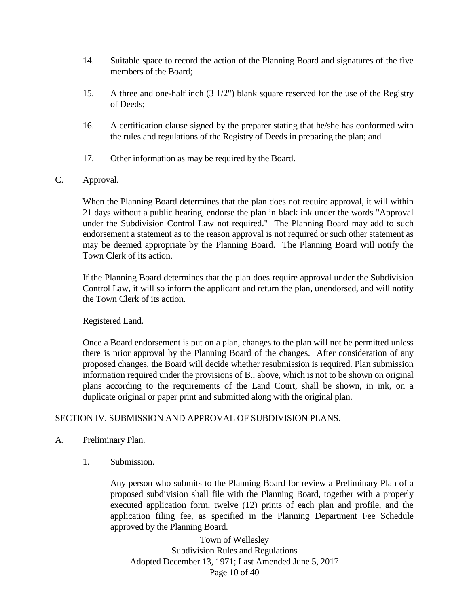- 14. Suitable space to record the action of the Planning Board and signatures of the five members of the Board;
- 15. A three and one-half inch (3 1/2") blank square reserved for the use of the Registry of Deeds;
- 16. A certification clause signed by the preparer stating that he/she has conformed with the rules and regulations of the Registry of Deeds in preparing the plan; and
- 17. Other information as may be required by the Board.

#### C. Approval.

When the Planning Board determines that the plan does not require approval, it will within 21 days without a public hearing, endorse the plan in black ink under the words "Approval under the Subdivision Control Law not required." The Planning Board may add to such endorsement a statement as to the reason approval is not required or such other statement as may be deemed appropriate by the Planning Board. The Planning Board will notify the Town Clerk of its action.

If the Planning Board determines that the plan does require approval under the Subdivision Control Law, it will so inform the applicant and return the plan, unendorsed, and will notify the Town Clerk of its action.

#### Registered Land.

Once a Board endorsement is put on a plan, changes to the plan will not be permitted unless there is prior approval by the Planning Board of the changes. After consideration of any proposed changes, the Board will decide whether resubmission is required. Plan submission information required under the provisions of B., above, which is not to be shown on original plans according to the requirements of the Land Court, shall be shown, in ink, on a duplicate original or paper print and submitted along with the original plan.

#### SECTION IV. SUBMISSION AND APPROVAL OF SUBDIVISION PLANS.

- A. Preliminary Plan.
	- 1. Submission.

Any person who submits to the Planning Board for review a Preliminary Plan of a proposed subdivision shall file with the Planning Board, together with a properly executed application form, twelve (12) prints of each plan and profile, and the application filing fee, as specified in the Planning Department Fee Schedule approved by the Planning Board.

Town of Wellesley Subdivision Rules and Regulations Adopted December 13, 1971; Last Amended June 5, 2017 Page 10 of 40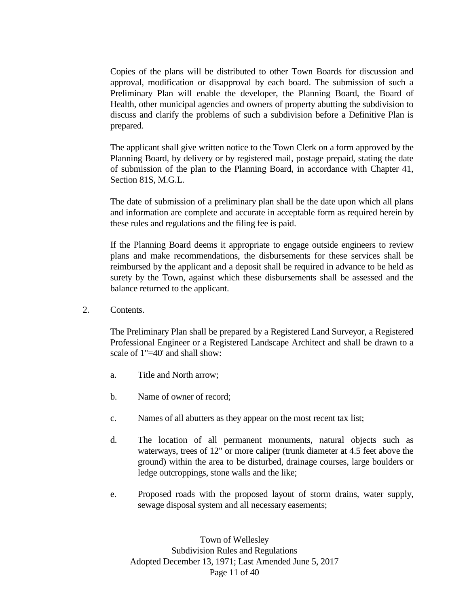Copies of the plans will be distributed to other Town Boards for discussion and approval, modification or disapproval by each board. The submission of such a Preliminary Plan will enable the developer, the Planning Board, the Board of Health, other municipal agencies and owners of property abutting the subdivision to discuss and clarify the problems of such a subdivision before a Definitive Plan is prepared.

The applicant shall give written notice to the Town Clerk on a form approved by the Planning Board, by delivery or by registered mail, postage prepaid, stating the date of submission of the plan to the Planning Board, in accordance with Chapter 41, Section 81S, M.G.L.

The date of submission of a preliminary plan shall be the date upon which all plans and information are complete and accurate in acceptable form as required herein by these rules and regulations and the filing fee is paid.

If the Planning Board deems it appropriate to engage outside engineers to review plans and make recommendations, the disbursements for these services shall be reimbursed by the applicant and a deposit shall be required in advance to be held as surety by the Town, against which these disbursements shall be assessed and the balance returned to the applicant.

2. Contents.

The Preliminary Plan shall be prepared by a Registered Land Surveyor, a Registered Professional Engineer or a Registered Landscape Architect and shall be drawn to a scale of 1"=40' and shall show:

- a. Title and North arrow;
- b. Name of owner of record;
- c. Names of all abutters as they appear on the most recent tax list;
- d. The location of all permanent monuments, natural objects such as waterways, trees of 12" or more caliper (trunk diameter at 4.5 feet above the ground) within the area to be disturbed, drainage courses, large boulders or ledge outcroppings, stone walls and the like;
- e. Proposed roads with the proposed layout of storm drains, water supply, sewage disposal system and all necessary easements;

Town of Wellesley Subdivision Rules and Regulations Adopted December 13, 1971; Last Amended June 5, 2017 Page 11 of 40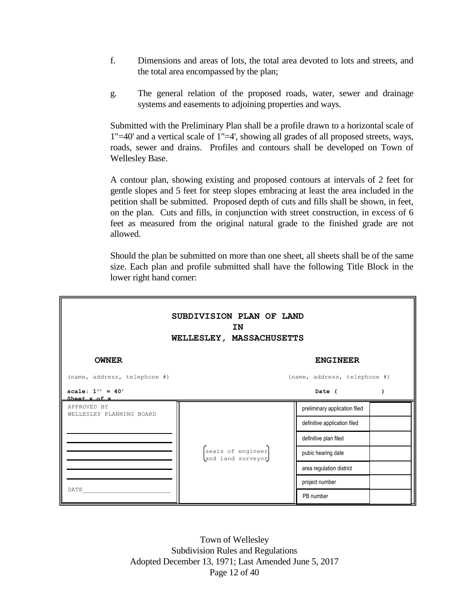- f. Dimensions and areas of lots, the total area devoted to lots and streets, and the total area encompassed by the plan;
- g. The general relation of the proposed roads, water, sewer and drainage systems and easements to adjoining properties and ways.

Submitted with the Preliminary Plan shall be a profile drawn to a horizontal scale of 1"=40' and a vertical scale of 1"=4', showing all grades of all proposed streets, ways, roads, sewer and drains. Profiles and contours shall be developed on Town of Wellesley Base.

A contour plan, showing existing and proposed contours at intervals of 2 feet for gentle slopes and 5 feet for steep slopes embracing at least the area included in the petition shall be submitted. Proposed depth of cuts and fills shall be shown, in feet, on the plan. Cuts and fills, in conjunction with street construction, in excess of 6 feet as measured from the original natural grade to the finished grade are not allowed.

Should the plan be submitted on more than one sheet, all sheets shall be of the same size. Each plan and profile submitted shall have the following Title Block in the lower right hand corner:

| SUBDIVISION PLAN OF LAND<br><b>IN</b><br>WELLESLEY, MASSACHUSETTS |                                        |                               |  |  |  |
|-------------------------------------------------------------------|----------------------------------------|-------------------------------|--|--|--|
| <b>OWNER</b>                                                      | <b>ENGINEER</b>                        |                               |  |  |  |
| (name, address, telephone #)<br>(name, address, telephone #)      |                                        |                               |  |  |  |
| scale: $1'' = 40'$<br>Sheet x of x                                |                                        | Date (                        |  |  |  |
| APPROVED BY<br>WELLESLEY PLANNING BOARD                           |                                        | preliminary application filed |  |  |  |
|                                                                   |                                        | definitive application filed  |  |  |  |
|                                                                   |                                        | definitive plan filed         |  |  |  |
|                                                                   | seals of engineer<br>and land surveyor | pubic hearing date            |  |  |  |
|                                                                   |                                        | area regulation district      |  |  |  |
| DATE                                                              |                                        | project number                |  |  |  |
|                                                                   |                                        | PB number                     |  |  |  |

Town of Wellesley Subdivision Rules and Regulations Adopted December 13, 1971; Last Amended June 5, 2017 Page 12 of 40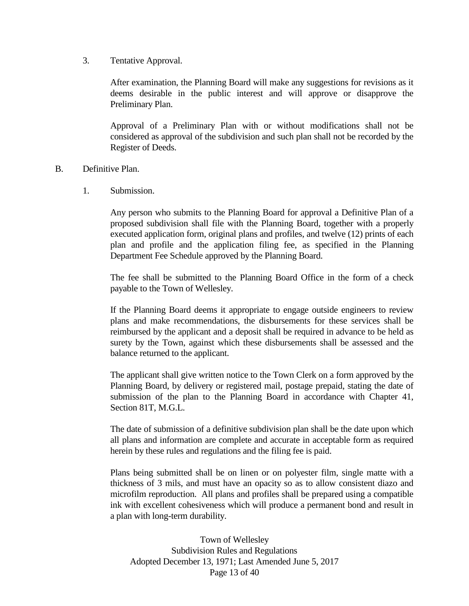3. Tentative Approval.

After examination, the Planning Board will make any suggestions for revisions as it deems desirable in the public interest and will approve or disapprove the Preliminary Plan.

Approval of a Preliminary Plan with or without modifications shall not be considered as approval of the subdivision and such plan shall not be recorded by the Register of Deeds.

#### B. Definitive Plan.

1. Submission.

Any person who submits to the Planning Board for approval a Definitive Plan of a proposed subdivision shall file with the Planning Board, together with a properly executed application form, original plans and profiles, and twelve (12) prints of each plan and profile and the application filing fee, as specified in the Planning Department Fee Schedule approved by the Planning Board.

The fee shall be submitted to the Planning Board Office in the form of a check payable to the Town of Wellesley.

If the Planning Board deems it appropriate to engage outside engineers to review plans and make recommendations, the disbursements for these services shall be reimbursed by the applicant and a deposit shall be required in advance to be held as surety by the Town, against which these disbursements shall be assessed and the balance returned to the applicant.

The applicant shall give written notice to the Town Clerk on a form approved by the Planning Board, by delivery or registered mail, postage prepaid, stating the date of submission of the plan to the Planning Board in accordance with Chapter 41, Section 81T, M.G.L.

The date of submission of a definitive subdivision plan shall be the date upon which all plans and information are complete and accurate in acceptable form as required herein by these rules and regulations and the filing fee is paid.

Plans being submitted shall be on linen or on polyester film, single matte with a thickness of 3 mils, and must have an opacity so as to allow consistent diazo and microfilm reproduction. All plans and profiles shall be prepared using a compatible ink with excellent cohesiveness which will produce a permanent bond and result in a plan with long-term durability.

Town of Wellesley Subdivision Rules and Regulations Adopted December 13, 1971; Last Amended June 5, 2017 Page 13 of 40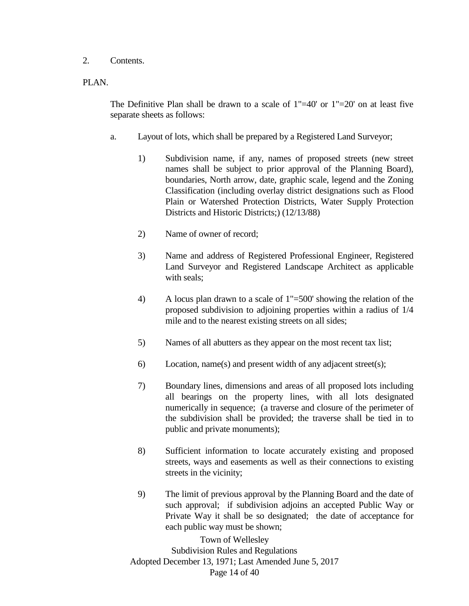#### 2. Contents.

#### PLAN.

The Definitive Plan shall be drawn to a scale of  $1"=40'$  or  $1"=20'$  on at least five separate sheets as follows:

- a. Layout of lots, which shall be prepared by a Registered Land Surveyor;
	- 1) Subdivision name, if any, names of proposed streets (new street names shall be subject to prior approval of the Planning Board), boundaries, North arrow, date, graphic scale, legend and the Zoning Classification (including overlay district designations such as Flood Plain or Watershed Protection Districts, Water Supply Protection Districts and Historic Districts;) (12/13/88)
	- 2) Name of owner of record;
	- 3) Name and address of Registered Professional Engineer, Registered Land Surveyor and Registered Landscape Architect as applicable with seals;
	- 4) A locus plan drawn to a scale of 1"=500' showing the relation of the proposed subdivision to adjoining properties within a radius of 1/4 mile and to the nearest existing streets on all sides;
	- 5) Names of all abutters as they appear on the most recent tax list;
	- 6) Location, name(s) and present width of any adjacent street(s);
	- 7) Boundary lines, dimensions and areas of all proposed lots including all bearings on the property lines, with all lots designated numerically in sequence; (a traverse and closure of the perimeter of the subdivision shall be provided; the traverse shall be tied in to public and private monuments);
	- 8) Sufficient information to locate accurately existing and proposed streets, ways and easements as well as their connections to existing streets in the vicinity;
	- 9) The limit of previous approval by the Planning Board and the date of such approval; if subdivision adjoins an accepted Public Way or Private Way it shall be so designated; the date of acceptance for each public way must be shown;

Town of Wellesley Subdivision Rules and Regulations Adopted December 13, 1971; Last Amended June 5, 2017 Page 14 of 40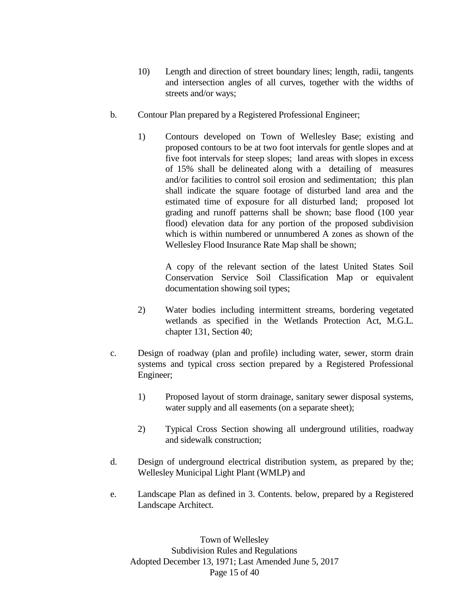- 10) Length and direction of street boundary lines; length, radii, tangents and intersection angles of all curves, together with the widths of streets and/or ways;
- b. Contour Plan prepared by a Registered Professional Engineer;
	- 1) Contours developed on Town of Wellesley Base; existing and proposed contours to be at two foot intervals for gentle slopes and at five foot intervals for steep slopes; land areas with slopes in excess of 15% shall be delineated along with a detailing of measures and/or facilities to control soil erosion and sedimentation; this plan shall indicate the square footage of disturbed land area and the estimated time of exposure for all disturbed land; proposed lot grading and runoff patterns shall be shown; base flood (100 year flood) elevation data for any portion of the proposed subdivision which is within numbered or unnumbered A zones as shown of the Wellesley Flood Insurance Rate Map shall be shown;

A copy of the relevant section of the latest United States Soil Conservation Service Soil Classification Map or equivalent documentation showing soil types;

- 2) Water bodies including intermittent streams, bordering vegetated wetlands as specified in the Wetlands Protection Act, M.G.L. chapter 131, Section 40;
- c. Design of roadway (plan and profile) including water, sewer, storm drain systems and typical cross section prepared by a Registered Professional Engineer;
	- 1) Proposed layout of storm drainage, sanitary sewer disposal systems, water supply and all easements (on a separate sheet);
	- 2) Typical Cross Section showing all underground utilities, roadway and sidewalk construction;
- d. Design of underground electrical distribution system, as prepared by the; Wellesley Municipal Light Plant (WMLP) and
- e. Landscape Plan as defined in 3. Contents. below, prepared by a Registered Landscape Architect.

Town of Wellesley Subdivision Rules and Regulations Adopted December 13, 1971; Last Amended June 5, 2017 Page 15 of 40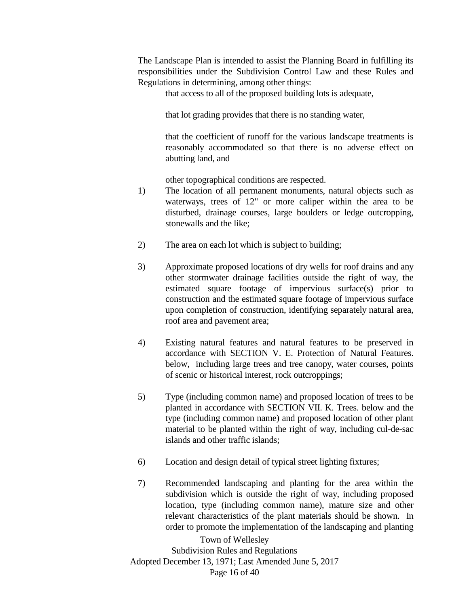The Landscape Plan is intended to assist the Planning Board in fulfilling its responsibilities under the Subdivision Control Law and these Rules and Regulations in determining, among other things:

that access to all of the proposed building lots is adequate,

that lot grading provides that there is no standing water,

that the coefficient of runoff for the various landscape treatments is reasonably accommodated so that there is no adverse effect on abutting land, and

other topographical conditions are respected.

- 1) The location of all permanent monuments, natural objects such as waterways, trees of 12" or more caliper within the area to be disturbed, drainage courses, large boulders or ledge outcropping, stonewalls and the like;
- 2) The area on each lot which is subject to building;
- 3) Approximate proposed locations of dry wells for roof drains and any other stormwater drainage facilities outside the right of way, the estimated square footage of impervious surface(s) prior to construction and the estimated square footage of impervious surface upon completion of construction, identifying separately natural area, roof area and pavement area;
- 4) Existing natural features and natural features to be preserved in accordance with SECTION V. E. Protection of Natural Features. below, including large trees and tree canopy, water courses, points of scenic or historical interest, rock outcroppings;
- 5) Type (including common name) and proposed location of trees to be planted in accordance with SECTION VII. K. Trees. below and the type (including common name) and proposed location of other plant material to be planted within the right of way, including cul-de-sac islands and other traffic islands;
- 6) Location and design detail of typical street lighting fixtures;
- 7) Recommended landscaping and planting for the area within the subdivision which is outside the right of way, including proposed location, type (including common name), mature size and other relevant characteristics of the plant materials should be shown. In order to promote the implementation of the landscaping and planting

Town of Wellesley Subdivision Rules and Regulations Adopted December 13, 1971; Last Amended June 5, 2017 Page 16 of 40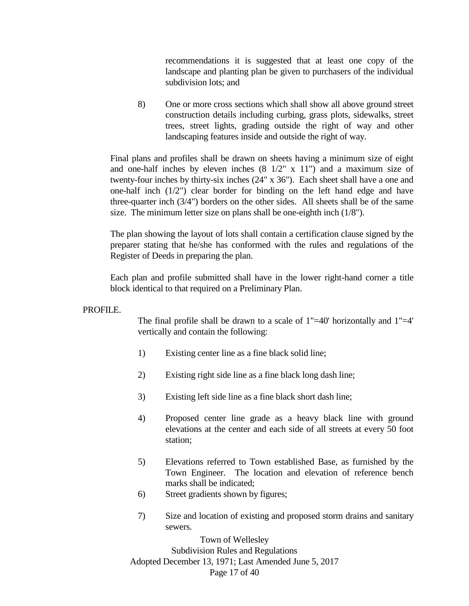recommendations it is suggested that at least one copy of the landscape and planting plan be given to purchasers of the individual subdivision lots; and

8) One or more cross sections which shall show all above ground street construction details including curbing, grass plots, sidewalks, street trees, street lights, grading outside the right of way and other landscaping features inside and outside the right of way.

Final plans and profiles shall be drawn on sheets having a minimum size of eight and one-half inches by eleven inches  $(8 \frac{1}{2} \times 11)$  and a maximum size of twenty-four inches by thirty-six inches (24" x 36"). Each sheet shall have a one and one-half inch (1/2") clear border for binding on the left hand edge and have three-quarter inch (3/4") borders on the other sides. All sheets shall be of the same size. The minimum letter size on plans shall be one-eighth inch (1/8").

The plan showing the layout of lots shall contain a certification clause signed by the preparer stating that he/she has conformed with the rules and regulations of the Register of Deeds in preparing the plan.

Each plan and profile submitted shall have in the lower right-hand corner a title block identical to that required on a Preliminary Plan.

#### PROFILE.

The final profile shall be drawn to a scale of 1"=40' horizontally and 1"=4' vertically and contain the following:

- 1) Existing center line as a fine black solid line;
- 2) Existing right side line as a fine black long dash line;
- 3) Existing left side line as a fine black short dash line;
- 4) Proposed center line grade as a heavy black line with ground elevations at the center and each side of all streets at every 50 foot station;
- 5) Elevations referred to Town established Base, as furnished by the Town Engineer. The location and elevation of reference bench marks shall be indicated;
- 6) Street gradients shown by figures;
- 7) Size and location of existing and proposed storm drains and sanitary sewers.

Town of Wellesley Subdivision Rules and Regulations Adopted December 13, 1971; Last Amended June 5, 2017 Page 17 of 40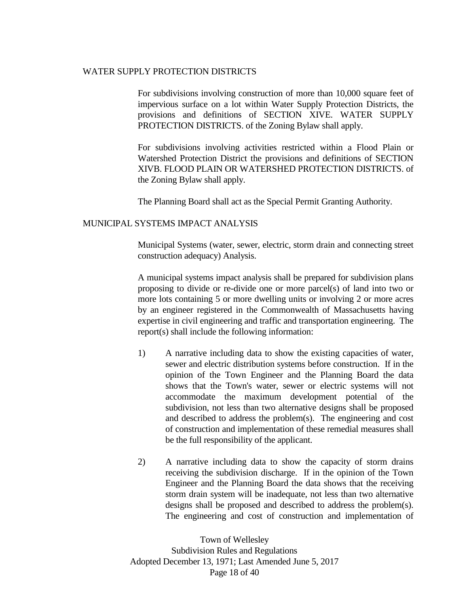#### WATER SUPPLY PROTECTION DISTRICTS

For subdivisions involving construction of more than 10,000 square feet of impervious surface on a lot within Water Supply Protection Districts, the provisions and definitions of SECTION XIVE. WATER SUPPLY PROTECTION DISTRICTS. of the Zoning Bylaw shall apply.

For subdivisions involving activities restricted within a Flood Plain or Watershed Protection District the provisions and definitions of SECTION XIVB. FLOOD PLAIN OR WATERSHED PROTECTION DISTRICTS. of the Zoning Bylaw shall apply.

The Planning Board shall act as the Special Permit Granting Authority.

#### MUNICIPAL SYSTEMS IMPACT ANALYSIS

Municipal Systems (water, sewer, electric, storm drain and connecting street construction adequacy) Analysis.

A municipal systems impact analysis shall be prepared for subdivision plans proposing to divide or re-divide one or more parcel(s) of land into two or more lots containing 5 or more dwelling units or involving 2 or more acres by an engineer registered in the Commonwealth of Massachusetts having expertise in civil engineering and traffic and transportation engineering. The report(s) shall include the following information:

- 1) A narrative including data to show the existing capacities of water, sewer and electric distribution systems before construction. If in the opinion of the Town Engineer and the Planning Board the data shows that the Town's water, sewer or electric systems will not accommodate the maximum development potential of the subdivision, not less than two alternative designs shall be proposed and described to address the problem(s). The engineering and cost of construction and implementation of these remedial measures shall be the full responsibility of the applicant.
- 2) A narrative including data to show the capacity of storm drains receiving the subdivision discharge. If in the opinion of the Town Engineer and the Planning Board the data shows that the receiving storm drain system will be inadequate, not less than two alternative designs shall be proposed and described to address the problem(s). The engineering and cost of construction and implementation of

Town of Wellesley Subdivision Rules and Regulations Adopted December 13, 1971; Last Amended June 5, 2017 Page 18 of 40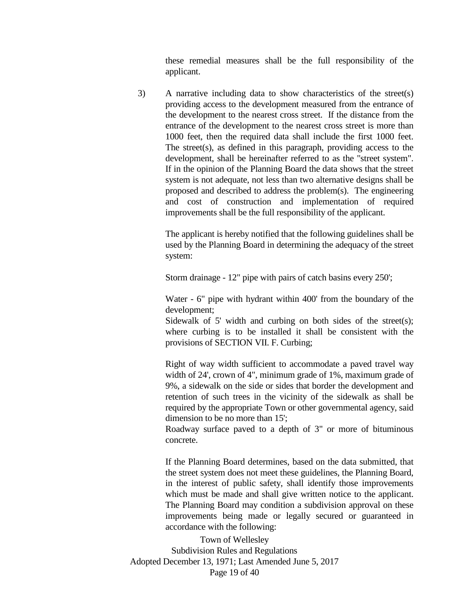these remedial measures shall be the full responsibility of the applicant.

3) A narrative including data to show characteristics of the street(s) providing access to the development measured from the entrance of the development to the nearest cross street. If the distance from the entrance of the development to the nearest cross street is more than 1000 feet, then the required data shall include the first 1000 feet. The street(s), as defined in this paragraph, providing access to the development, shall be hereinafter referred to as the "street system". If in the opinion of the Planning Board the data shows that the street system is not adequate, not less than two alternative designs shall be proposed and described to address the problem(s). The engineering and cost of construction and implementation of required improvements shall be the full responsibility of the applicant.

> The applicant is hereby notified that the following guidelines shall be used by the Planning Board in determining the adequacy of the street system:

Storm drainage - 12" pipe with pairs of catch basins every 250';

Water - 6" pipe with hydrant within 400' from the boundary of the development;

Sidewalk of 5' width and curbing on both sides of the street(s); where curbing is to be installed it shall be consistent with the provisions of SECTION VII. F. Curbing;

Right of way width sufficient to accommodate a paved travel way width of 24', crown of 4", minimum grade of 1%, maximum grade of 9%, a sidewalk on the side or sides that border the development and retention of such trees in the vicinity of the sidewalk as shall be required by the appropriate Town or other governmental agency, said dimension to be no more than 15';

Roadway surface paved to a depth of 3" or more of bituminous concrete.

If the Planning Board determines, based on the data submitted, that the street system does not meet these guidelines, the Planning Board, in the interest of public safety, shall identify those improvements which must be made and shall give written notice to the applicant. The Planning Board may condition a subdivision approval on these improvements being made or legally secured or guaranteed in accordance with the following:

Town of Wellesley Subdivision Rules and Regulations Adopted December 13, 1971; Last Amended June 5, 2017 Page 19 of 40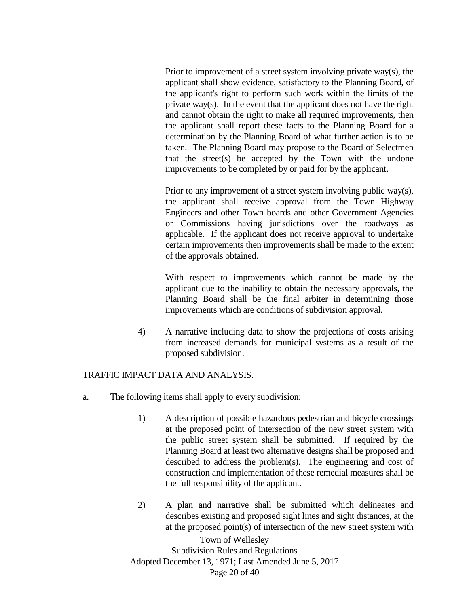Prior to improvement of a street system involving private way(s), the applicant shall show evidence, satisfactory to the Planning Board, of the applicant's right to perform such work within the limits of the private way(s). In the event that the applicant does not have the right and cannot obtain the right to make all required improvements, then the applicant shall report these facts to the Planning Board for a determination by the Planning Board of what further action is to be taken. The Planning Board may propose to the Board of Selectmen that the street(s) be accepted by the Town with the undone improvements to be completed by or paid for by the applicant.

Prior to any improvement of a street system involving public way(s), the applicant shall receive approval from the Town Highway Engineers and other Town boards and other Government Agencies or Commissions having jurisdictions over the roadways as applicable. If the applicant does not receive approval to undertake certain improvements then improvements shall be made to the extent of the approvals obtained.

With respect to improvements which cannot be made by the applicant due to the inability to obtain the necessary approvals, the Planning Board shall be the final arbiter in determining those improvements which are conditions of subdivision approval.

4) A narrative including data to show the projections of costs arising from increased demands for municipal systems as a result of the proposed subdivision.

#### TRAFFIC IMPACT DATA AND ANALYSIS.

- a. The following items shall apply to every subdivision:
	- 1) A description of possible hazardous pedestrian and bicycle crossings at the proposed point of intersection of the new street system with the public street system shall be submitted. If required by the Planning Board at least two alternative designs shall be proposed and described to address the problem(s). The engineering and cost of construction and implementation of these remedial measures shall be the full responsibility of the applicant.
	- 2) A plan and narrative shall be submitted which delineates and describes existing and proposed sight lines and sight distances, at the at the proposed point(s) of intersection of the new street system with

Town of Wellesley Subdivision Rules and Regulations Adopted December 13, 1971; Last Amended June 5, 2017 Page 20 of 40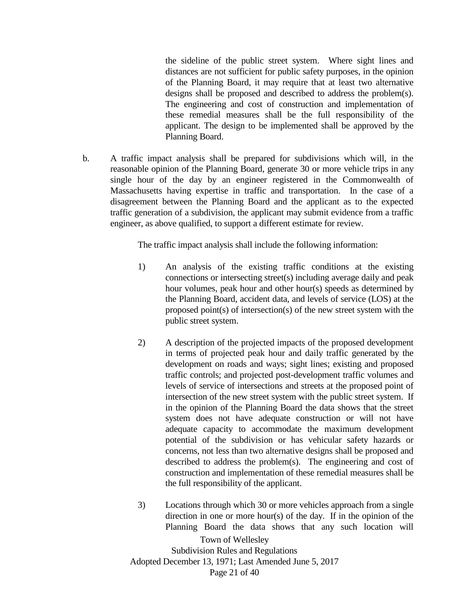the sideline of the public street system. Where sight lines and distances are not sufficient for public safety purposes, in the opinion of the Planning Board, it may require that at least two alternative designs shall be proposed and described to address the problem(s). The engineering and cost of construction and implementation of these remedial measures shall be the full responsibility of the applicant. The design to be implemented shall be approved by the Planning Board.

b. A traffic impact analysis shall be prepared for subdivisions which will, in the reasonable opinion of the Planning Board, generate 30 or more vehicle trips in any single hour of the day by an engineer registered in the Commonwealth of Massachusetts having expertise in traffic and transportation. In the case of a disagreement between the Planning Board and the applicant as to the expected traffic generation of a subdivision, the applicant may submit evidence from a traffic engineer, as above qualified, to support a different estimate for review.

The traffic impact analysis shall include the following information:

- 1) An analysis of the existing traffic conditions at the existing connections or intersecting street(s) including average daily and peak hour volumes, peak hour and other hour(s) speeds as determined by the Planning Board, accident data, and levels of service (LOS) at the proposed point(s) of intersection(s) of the new street system with the public street system.
- 2) A description of the projected impacts of the proposed development in terms of projected peak hour and daily traffic generated by the development on roads and ways; sight lines; existing and proposed traffic controls; and projected post-development traffic volumes and levels of service of intersections and streets at the proposed point of intersection of the new street system with the public street system. If in the opinion of the Planning Board the data shows that the street system does not have adequate construction or will not have adequate capacity to accommodate the maximum development potential of the subdivision or has vehicular safety hazards or concerns, not less than two alternative designs shall be proposed and described to address the problem(s). The engineering and cost of construction and implementation of these remedial measures shall be the full responsibility of the applicant.
- Town of Wellesley Subdivision Rules and Regulations Adopted December 13, 1971; Last Amended June 5, 2017 3) Locations through which 30 or more vehicles approach from a single direction in one or more hour(s) of the day. If in the opinion of the Planning Board the data shows that any such location will

Page 21 of 40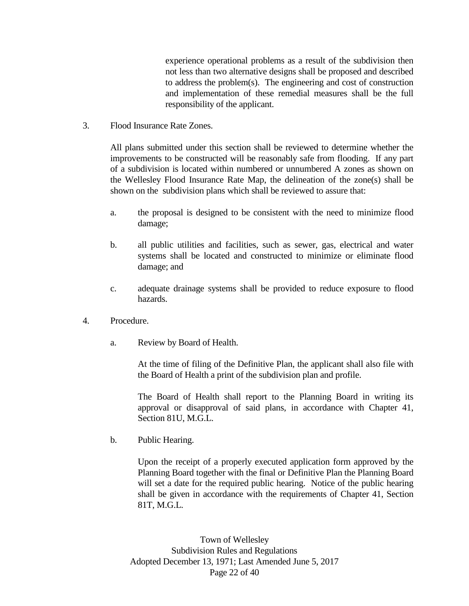experience operational problems as a result of the subdivision then not less than two alternative designs shall be proposed and described to address the problem(s). The engineering and cost of construction and implementation of these remedial measures shall be the full responsibility of the applicant.

3. Flood Insurance Rate Zones.

All plans submitted under this section shall be reviewed to determine whether the improvements to be constructed will be reasonably safe from flooding. If any part of a subdivision is located within numbered or unnumbered A zones as shown on the Wellesley Flood Insurance Rate Map, the delineation of the zone(s) shall be shown on the subdivision plans which shall be reviewed to assure that:

- a. the proposal is designed to be consistent with the need to minimize flood damage;
- b. all public utilities and facilities, such as sewer, gas, electrical and water systems shall be located and constructed to minimize or eliminate flood damage; and
- c. adequate drainage systems shall be provided to reduce exposure to flood hazards.
- 4. Procedure.
	- a. Review by Board of Health.

At the time of filing of the Definitive Plan, the applicant shall also file with the Board of Health a print of the subdivision plan and profile.

The Board of Health shall report to the Planning Board in writing its approval or disapproval of said plans, in accordance with Chapter 41, Section 81U, M.G.L.

b. Public Hearing.

Upon the receipt of a properly executed application form approved by the Planning Board together with the final or Definitive Plan the Planning Board will set a date for the required public hearing. Notice of the public hearing shall be given in accordance with the requirements of Chapter 41, Section 81T, M.G.L.

Town of Wellesley Subdivision Rules and Regulations Adopted December 13, 1971; Last Amended June 5, 2017 Page 22 of 40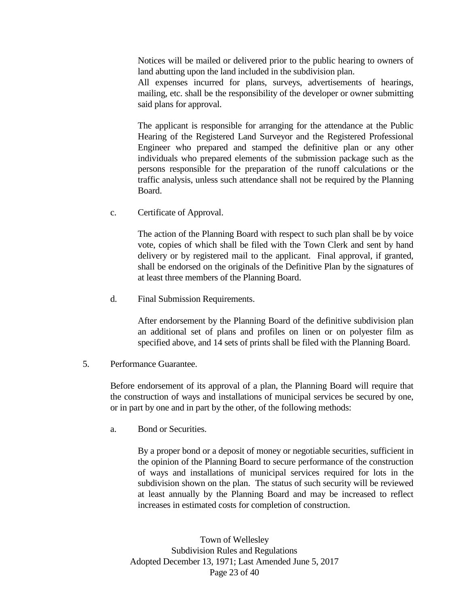Notices will be mailed or delivered prior to the public hearing to owners of land abutting upon the land included in the subdivision plan.

All expenses incurred for plans, surveys, advertisements of hearings, mailing, etc. shall be the responsibility of the developer or owner submitting said plans for approval.

The applicant is responsible for arranging for the attendance at the Public Hearing of the Registered Land Surveyor and the Registered Professional Engineer who prepared and stamped the definitive plan or any other individuals who prepared elements of the submission package such as the persons responsible for the preparation of the runoff calculations or the traffic analysis, unless such attendance shall not be required by the Planning Board.

c. Certificate of Approval.

The action of the Planning Board with respect to such plan shall be by voice vote, copies of which shall be filed with the Town Clerk and sent by hand delivery or by registered mail to the applicant. Final approval, if granted, shall be endorsed on the originals of the Definitive Plan by the signatures of at least three members of the Planning Board.

d. Final Submission Requirements.

After endorsement by the Planning Board of the definitive subdivision plan an additional set of plans and profiles on linen or on polyester film as specified above, and 14 sets of prints shall be filed with the Planning Board.

#### 5. Performance Guarantee.

Before endorsement of its approval of a plan, the Planning Board will require that the construction of ways and installations of municipal services be secured by one, or in part by one and in part by the other, of the following methods:

a. Bond or Securities.

By a proper bond or a deposit of money or negotiable securities, sufficient in the opinion of the Planning Board to secure performance of the construction of ways and installations of municipal services required for lots in the subdivision shown on the plan. The status of such security will be reviewed at least annually by the Planning Board and may be increased to reflect increases in estimated costs for completion of construction.

Town of Wellesley Subdivision Rules and Regulations Adopted December 13, 1971; Last Amended June 5, 2017 Page 23 of 40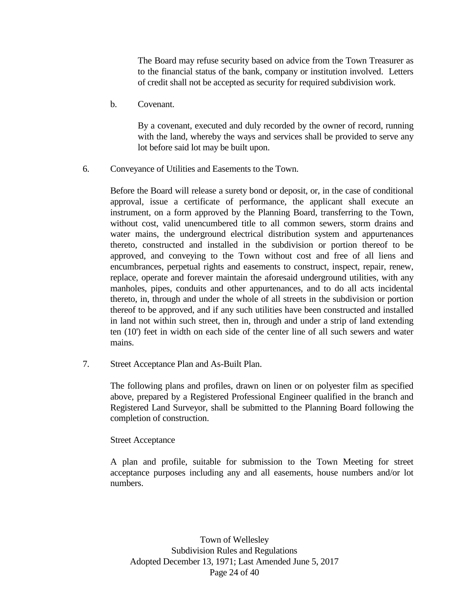The Board may refuse security based on advice from the Town Treasurer as to the financial status of the bank, company or institution involved. Letters of credit shall not be accepted as security for required subdivision work.

b. Covenant.

By a covenant, executed and duly recorded by the owner of record, running with the land, whereby the ways and services shall be provided to serve any lot before said lot may be built upon.

6. Conveyance of Utilities and Easements to the Town.

Before the Board will release a surety bond or deposit, or, in the case of conditional approval, issue a certificate of performance, the applicant shall execute an instrument, on a form approved by the Planning Board, transferring to the Town, without cost, valid unencumbered title to all common sewers, storm drains and water mains, the underground electrical distribution system and appurtenances thereto, constructed and installed in the subdivision or portion thereof to be approved, and conveying to the Town without cost and free of all liens and encumbrances, perpetual rights and easements to construct, inspect, repair, renew, replace, operate and forever maintain the aforesaid underground utilities, with any manholes, pipes, conduits and other appurtenances, and to do all acts incidental thereto, in, through and under the whole of all streets in the subdivision or portion thereof to be approved, and if any such utilities have been constructed and installed in land not within such street, then in, through and under a strip of land extending ten (10') feet in width on each side of the center line of all such sewers and water mains.

7. Street Acceptance Plan and As-Built Plan.

The following plans and profiles, drawn on linen or on polyester film as specified above, prepared by a Registered Professional Engineer qualified in the branch and Registered Land Surveyor, shall be submitted to the Planning Board following the completion of construction.

#### Street Acceptance

A plan and profile, suitable for submission to the Town Meeting for street acceptance purposes including any and all easements, house numbers and/or lot numbers.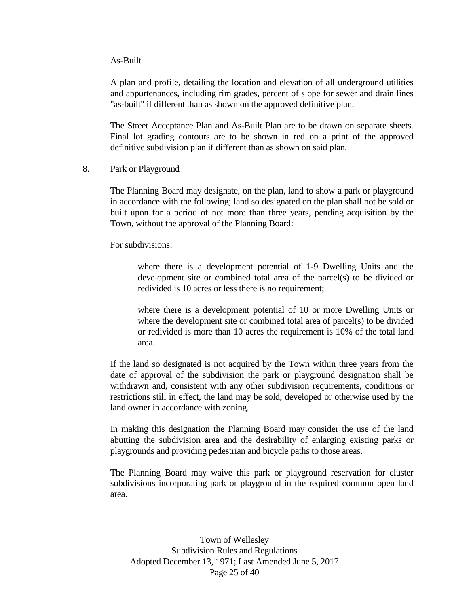#### As-Built

A plan and profile, detailing the location and elevation of all underground utilities and appurtenances, including rim grades, percent of slope for sewer and drain lines "as-built" if different than as shown on the approved definitive plan.

The Street Acceptance Plan and As-Built Plan are to be drawn on separate sheets. Final lot grading contours are to be shown in red on a print of the approved definitive subdivision plan if different than as shown on said plan.

8. Park or Playground

The Planning Board may designate, on the plan, land to show a park or playground in accordance with the following; land so designated on the plan shall not be sold or built upon for a period of not more than three years, pending acquisition by the Town, without the approval of the Planning Board:

For subdivisions:

where there is a development potential of 1-9 Dwelling Units and the development site or combined total area of the parcel(s) to be divided or redivided is 10 acres or less there is no requirement;

where there is a development potential of 10 or more Dwelling Units or where the development site or combined total area of parcel(s) to be divided or redivided is more than 10 acres the requirement is 10% of the total land area.

If the land so designated is not acquired by the Town within three years from the date of approval of the subdivision the park or playground designation shall be withdrawn and, consistent with any other subdivision requirements, conditions or restrictions still in effect, the land may be sold, developed or otherwise used by the land owner in accordance with zoning.

In making this designation the Planning Board may consider the use of the land abutting the subdivision area and the desirability of enlarging existing parks or playgrounds and providing pedestrian and bicycle paths to those areas.

The Planning Board may waive this park or playground reservation for cluster subdivisions incorporating park or playground in the required common open land area.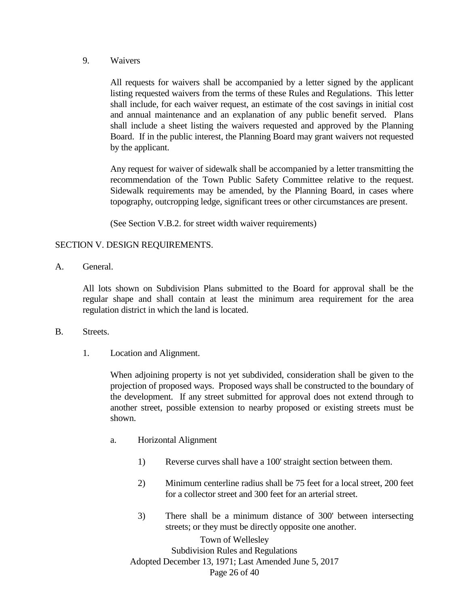9. Waivers

All requests for waivers shall be accompanied by a letter signed by the applicant listing requested waivers from the terms of these Rules and Regulations. This letter shall include, for each waiver request, an estimate of the cost savings in initial cost and annual maintenance and an explanation of any public benefit served. Plans shall include a sheet listing the waivers requested and approved by the Planning Board. If in the public interest, the Planning Board may grant waivers not requested by the applicant.

Any request for waiver of sidewalk shall be accompanied by a letter transmitting the recommendation of the Town Public Safety Committee relative to the request. Sidewalk requirements may be amended, by the Planning Board, in cases where topography, outcropping ledge, significant trees or other circumstances are present.

(See Section V.B.2. for street width waiver requirements)

#### SECTION V. DESIGN REQUIREMENTS.

A. General.

All lots shown on Subdivision Plans submitted to the Board for approval shall be the regular shape and shall contain at least the minimum area requirement for the area regulation district in which the land is located.

- B. Streets.
	- 1. Location and Alignment.

When adjoining property is not yet subdivided, consideration shall be given to the projection of proposed ways. Proposed ways shall be constructed to the boundary of the development. If any street submitted for approval does not extend through to another street, possible extension to nearby proposed or existing streets must be shown.

- a. Horizontal Alignment
	- 1) Reverse curves shall have a 100' straight section between them.
	- 2) Minimum centerline radius shall be 75 feet for a local street, 200 feet for a collector street and 300 feet for an arterial street.
	- 3) There shall be a minimum distance of 300' between intersecting streets; or they must be directly opposite one another.

Town of Wellesley Subdivision Rules and Regulations Adopted December 13, 1971; Last Amended June 5, 2017 Page 26 of 40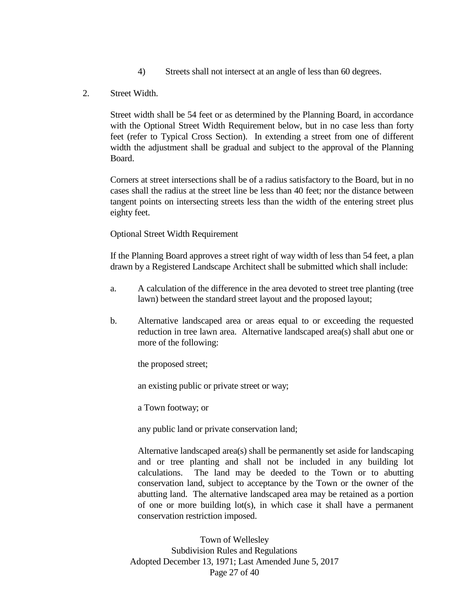- 4) Streets shall not intersect at an angle of less than 60 degrees.
- 2. Street Width.

Street width shall be 54 feet or as determined by the Planning Board, in accordance with the Optional Street Width Requirement below, but in no case less than forty feet (refer to Typical Cross Section). In extending a street from one of different width the adjustment shall be gradual and subject to the approval of the Planning Board.

Corners at street intersections shall be of a radius satisfactory to the Board, but in no cases shall the radius at the street line be less than 40 feet; nor the distance between tangent points on intersecting streets less than the width of the entering street plus eighty feet.

Optional Street Width Requirement

If the Planning Board approves a street right of way width of less than 54 feet, a plan drawn by a Registered Landscape Architect shall be submitted which shall include:

- a. A calculation of the difference in the area devoted to street tree planting (tree lawn) between the standard street layout and the proposed layout;
- b. Alternative landscaped area or areas equal to or exceeding the requested reduction in tree lawn area. Alternative landscaped area(s) shall abut one or more of the following:

the proposed street;

an existing public or private street or way;

a Town footway; or

any public land or private conservation land;

Alternative landscaped area(s) shall be permanently set aside for landscaping and or tree planting and shall not be included in any building lot calculations. The land may be deeded to the Town or to abutting conservation land, subject to acceptance by the Town or the owner of the abutting land. The alternative landscaped area may be retained as a portion of one or more building lot(s), in which case it shall have a permanent conservation restriction imposed.

Town of Wellesley Subdivision Rules and Regulations Adopted December 13, 1971; Last Amended June 5, 2017 Page 27 of 40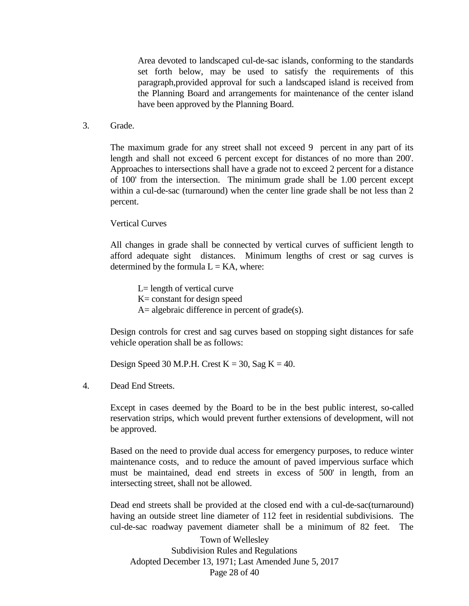Area devoted to landscaped cul-de-sac islands, conforming to the standards set forth below, may be used to satisfy the requirements of this paragraph,provided approval for such a landscaped island is received from the Planning Board and arrangements for maintenance of the center island have been approved by the Planning Board.

3. Grade.

The maximum grade for any street shall not exceed 9 percent in any part of its length and shall not exceed 6 percent except for distances of no more than 200'. Approaches to intersections shall have a grade not to exceed 2 percent for a distance of 100' from the intersection. The minimum grade shall be 1.00 percent except within a cul-de-sac (turnaround) when the center line grade shall be not less than 2 percent.

#### Vertical Curves

All changes in grade shall be connected by vertical curves of sufficient length to afford adequate sight distances. Minimum lengths of crest or sag curves is determined by the formula  $L = KA$ , where:

L= length of vertical curve K= constant for design speed A= algebraic difference in percent of grade(s).

Design controls for crest and sag curves based on stopping sight distances for safe vehicle operation shall be as follows:

Design Speed 30 M.P.H. Crest  $K = 30$ , Sag  $K = 40$ .

4. Dead End Streets.

Except in cases deemed by the Board to be in the best public interest, so-called reservation strips, which would prevent further extensions of development, will not be approved.

Based on the need to provide dual access for emergency purposes, to reduce winter maintenance costs, and to reduce the amount of paved impervious surface which must be maintained, dead end streets in excess of 500' in length, from an intersecting street, shall not be allowed.

Dead end streets shall be provided at the closed end with a cul-de-sac(turnaround) having an outside street line diameter of 112 feet in residential subdivisions. The cul-de-sac roadway pavement diameter shall be a minimum of 82 feet. The

Town of Wellesley Subdivision Rules and Regulations Adopted December 13, 1971; Last Amended June 5, 2017 Page 28 of 40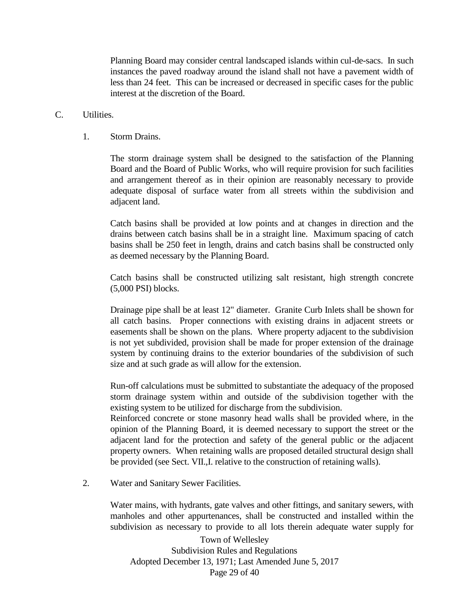Planning Board may consider central landscaped islands within cul-de-sacs. In such instances the paved roadway around the island shall not have a pavement width of less than 24 feet. This can be increased or decreased in specific cases for the public interest at the discretion of the Board.

#### C. Utilities.

#### 1. Storm Drains.

The storm drainage system shall be designed to the satisfaction of the Planning Board and the Board of Public Works, who will require provision for such facilities and arrangement thereof as in their opinion are reasonably necessary to provide adequate disposal of surface water from all streets within the subdivision and adjacent land.

Catch basins shall be provided at low points and at changes in direction and the drains between catch basins shall be in a straight line. Maximum spacing of catch basins shall be 250 feet in length, drains and catch basins shall be constructed only as deemed necessary by the Planning Board.

Catch basins shall be constructed utilizing salt resistant, high strength concrete (5,000 PSI) blocks.

Drainage pipe shall be at least 12" diameter. Granite Curb Inlets shall be shown for all catch basins. Proper connections with existing drains in adjacent streets or easements shall be shown on the plans. Where property adjacent to the subdivision is not yet subdivided, provision shall be made for proper extension of the drainage system by continuing drains to the exterior boundaries of the subdivision of such size and at such grade as will allow for the extension.

Run-off calculations must be submitted to substantiate the adequacy of the proposed storm drainage system within and outside of the subdivision together with the existing system to be utilized for discharge from the subdivision.

Reinforced concrete or stone masonry head walls shall be provided where, in the opinion of the Planning Board, it is deemed necessary to support the street or the adjacent land for the protection and safety of the general public or the adjacent property owners. When retaining walls are proposed detailed structural design shall be provided (see Sect. VII.,I. relative to the construction of retaining walls).

2. Water and Sanitary Sewer Facilities.

Water mains, with hydrants, gate valves and other fittings, and sanitary sewers, with manholes and other appurtenances, shall be constructed and installed within the subdivision as necessary to provide to all lots therein adequate water supply for

Town of Wellesley Subdivision Rules and Regulations Adopted December 13, 1971; Last Amended June 5, 2017 Page 29 of 40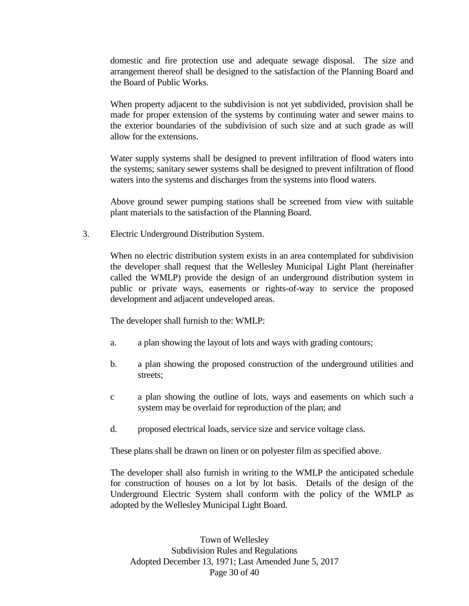domestic and fire protection use and adequate sewage disposal. The size and arrangement thereof shall be designed to the satisfaction of the Planning Board and the Board of Public Works.

When property adjacent to the subdivision is not yet subdivided, provision shall be made for proper extension of the systems by continuing water and sewer mains to the exterior boundaries of the subdivision of such size and at such grade as will allow for the extensions.

Water supply systems shall be designed to prevent infiltration of flood waters into the systems; sanitary sewer systems shall be designed to prevent infiltration of flood waters into the systems and discharges from the systems into flood waters.

Above ground sewer pumping stations shall be screened from view with suitable plant materials to the satisfaction of the Planning Board.

3. Electric Underground Distribution System.

When no electric distribution system exists in an area contemplated for subdivision the developer shall request that the Wellesley Municipal Light Plant (hereinafter called the WMLP) provide the design of an underground distribution system in public or private ways, easements or rights-of-way to service the proposed development and adjacent undeveloped areas.

The developer shall furnish to the: WMLP:

- a. a plan showing the layout of lots and ways with grading contours;
- b. a plan showing the proposed construction of the underground utilities and streets;
- c a plan showing the outline of lots, ways and easements on which such a system may be overlaid for reproduction of the plan; and
- d. proposed electrical loads, service size and service voltage class.

These plans shall be drawn on linen or on polyester film as specified above.

The developer shall also furnish in writing to the WMLP the anticipated schedule for construction of houses on a lot by lot basis. Details of the design of the Underground Electric System shall conform with the policy of the WMLP as adopted by the Wellesley Municipal Light Board.

Town of Wellesley Subdivision Rules and Regulations Adopted December 13, 1971; Last Amended June 5, 2017 Page 30 of 40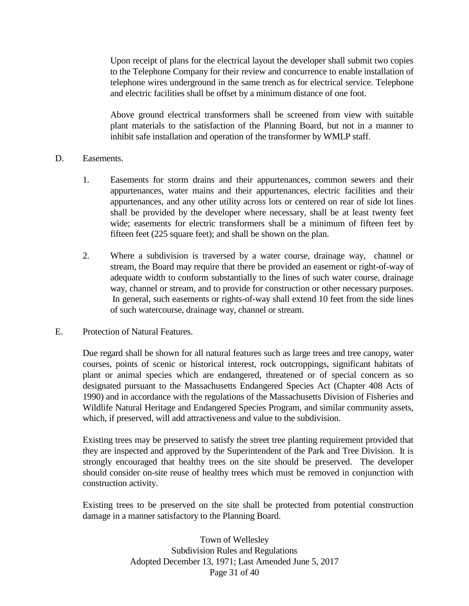Upon receipt of plans for the electrical layout the developer shall submit two copies to the Telephone Company for their review and concurrence to enable installation of telephone wires underground in the same trench as for electrical service. Telephone and electric facilities shall be offset by a minimum distance of one foot.

Above ground electrical transformers shall be screened from view with suitable plant materials to the satisfaction of the Planning Board, but not in a manner to inhibit safe installation and operation of the transformer by WMLP staff.

#### D. Easements.

- 1. Easements for storm drains and their appurtenances, common sewers and their appurtenances, water mains and their appurtenances, electric facilities and their appurtenances, and any other utility across lots or centered on rear of side lot lines shall be provided by the developer where necessary, shall be at least twenty feet wide; easements for electric transformers shall be a minimum of fifteen feet by fifteen feet (225 square feet); and shall be shown on the plan.
- 2. Where a subdivision is traversed by a water course, drainage way, channel or stream, the Board may require that there be provided an easement or right-of-way of adequate width to conform substantially to the lines of such water course, drainage way, channel or stream, and to provide for construction or other necessary purposes. In general, such easements or rights-of-way shall extend 10 feet from the side lines of such watercourse, drainage way, channel or stream.

#### E. Protection of Natural Features.

Due regard shall be shown for all natural features such as large trees and tree canopy, water courses, points of scenic or historical interest, rock outcroppings, significant habitats of plant or animal species which are endangered, threatened or of special concern as so designated pursuant to the Massachusetts Endangered Species Act (Chapter 408 Acts of 1990) and in accordance with the regulations of the Massachusetts Division of Fisheries and Wildlife Natural Heritage and Endangered Species Program, and similar community assets, which, if preserved, will add attractiveness and value to the subdivision.

Existing trees may be preserved to satisfy the street tree planting requirement provided that they are inspected and approved by the Superintendent of the Park and Tree Division. It is strongly encouraged that healthy trees on the site should be preserved. The developer should consider on-site reuse of healthy trees which must be removed in conjunction with construction activity.

Existing trees to be preserved on the site shall be protected from potential construction damage in a manner satisfactory to the Planning Board.

> Town of Wellesley Subdivision Rules and Regulations Adopted December 13, 1971; Last Amended June 5, 2017 Page 31 of 40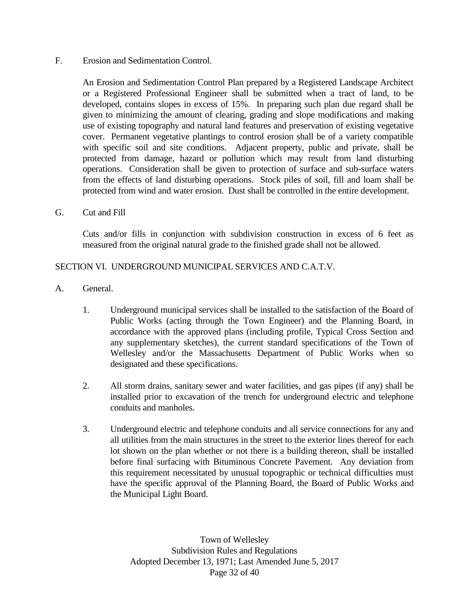#### F. Erosion and Sedimentation Control.

An Erosion and Sedimentation Control Plan prepared by a Registered Landscape Architect or a Registered Professional Engineer shall be submitted when a tract of land, to be developed, contains slopes in excess of 15%. In preparing such plan due regard shall be given to minimizing the amount of clearing, grading and slope modifications and making use of existing topography and natural land features and preservation of existing vegetative cover. Permanent vegetative plantings to control erosion shall be of a variety compatible with specific soil and site conditions. Adjacent property, public and private, shall be protected from damage, hazard or pollution which may result from land disturbing operations. Consideration shall be given to protection of surface and sub-surface waters from the effects of land disturbing operations. Stock piles of soil, fill and loam shall be protected from wind and water erosion. Dust shall be controlled in the entire development.

#### G. Cut and Fill

Cuts and/or fills in conjunction with subdivision construction in excess of 6 feet as measured from the original natural grade to the finished grade shall not be allowed.

#### SECTION VI. UNDERGROUND MUNICIPAL SERVICES AND C.A.T.V.

- A. General.
	- 1. Underground municipal services shall be installed to the satisfaction of the Board of Public Works (acting through the Town Engineer) and the Planning Board, in accordance with the approved plans (including profile, Typical Cross Section and any supplementary sketches), the current standard specifications of the Town of Wellesley and/or the Massachusetts Department of Public Works when so designated and these specifications.
	- 2. All storm drains, sanitary sewer and water facilities, and gas pipes (if any) shall be installed prior to excavation of the trench for underground electric and telephone conduits and manholes.
	- 3. Underground electric and telephone conduits and all service connections for any and all utilities from the main structures in the street to the exterior lines thereof for each lot shown on the plan whether or not there is a building thereon, shall be installed before final surfacing with Bituminous Concrete Pavement. Any deviation from this requirement necessitated by unusual topographic or technical difficulties must have the specific approval of the Planning Board, the Board of Public Works and the Municipal Light Board.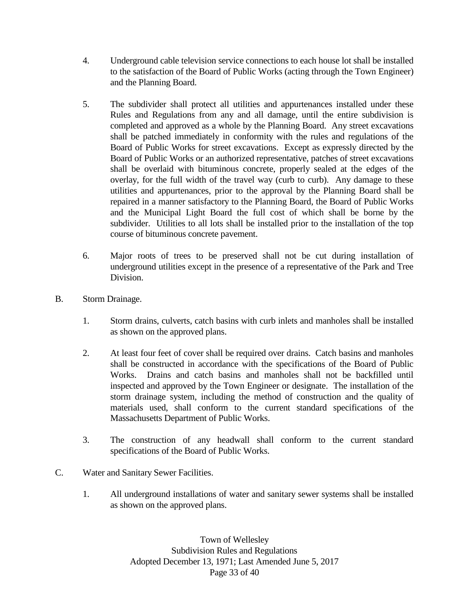- 4. Underground cable television service connections to each house lot shall be installed to the satisfaction of the Board of Public Works (acting through the Town Engineer) and the Planning Board.
- 5. The subdivider shall protect all utilities and appurtenances installed under these Rules and Regulations from any and all damage, until the entire subdivision is completed and approved as a whole by the Planning Board. Any street excavations shall be patched immediately in conformity with the rules and regulations of the Board of Public Works for street excavations. Except as expressly directed by the Board of Public Works or an authorized representative, patches of street excavations shall be overlaid with bituminous concrete, properly sealed at the edges of the overlay, for the full width of the travel way (curb to curb). Any damage to these utilities and appurtenances, prior to the approval by the Planning Board shall be repaired in a manner satisfactory to the Planning Board, the Board of Public Works and the Municipal Light Board the full cost of which shall be borne by the subdivider. Utilities to all lots shall be installed prior to the installation of the top course of bituminous concrete pavement.
- 6. Major roots of trees to be preserved shall not be cut during installation of underground utilities except in the presence of a representative of the Park and Tree Division.
- B. Storm Drainage.
	- 1. Storm drains, culverts, catch basins with curb inlets and manholes shall be installed as shown on the approved plans.
	- 2. At least four feet of cover shall be required over drains. Catch basins and manholes shall be constructed in accordance with the specifications of the Board of Public Works. Drains and catch basins and manholes shall not be backfilled until inspected and approved by the Town Engineer or designate. The installation of the storm drainage system, including the method of construction and the quality of materials used, shall conform to the current standard specifications of the Massachusetts Department of Public Works.
	- 3. The construction of any headwall shall conform to the current standard specifications of the Board of Public Works.
- C. Water and Sanitary Sewer Facilities.
	- 1. All underground installations of water and sanitary sewer systems shall be installed as shown on the approved plans.

Town of Wellesley Subdivision Rules and Regulations Adopted December 13, 1971; Last Amended June 5, 2017 Page 33 of 40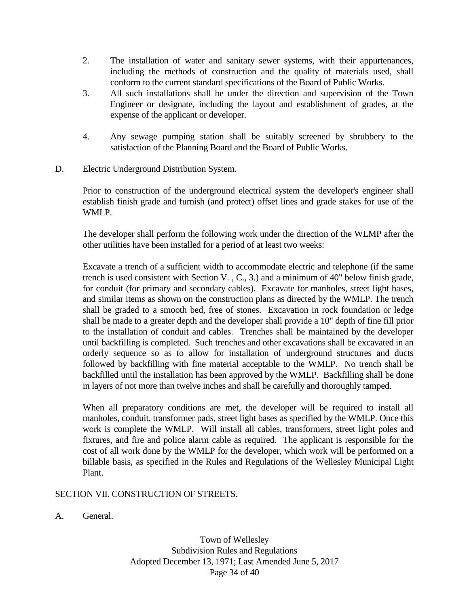- 2. The installation of water and sanitary sewer systems, with their appurtenances, including the methods of construction and the quality of materials used, shall conform to the current standard specifications of the Board of Public Works.
- 3. All such installations shall be under the direction and supervision of the Town Engineer or designate, including the layout and establishment of grades, at the expense of the applicant or developer.
- 4. Any sewage pumping station shall be suitably screened by shrubbery to the satisfaction of the Planning Board and the Board of Public Works.
- D. Electric Underground Distribution System.

Prior to construction of the underground electrical system the developer's engineer shall establish finish grade and furnish (and protect) offset lines and grade stakes for use of the WMLP.

The developer shall perform the following work under the direction of the WLMP after the other utilities have been installed for a period of at least two weeks:

Excavate a trench of a sufficient width to accommodate electric and telephone (if the same trench is used consistent with Section V. , C., 3.) and a minimum of 40" below finish grade, for conduit (for primary and secondary cables). Excavate for manholes, street light bases, and similar items as shown on the construction plans as directed by the WMLP. The trench shall be graded to a smooth bed, free of stones. Excavation in rock foundation or ledge shall be made to a greater depth and the developer shall provide a 10" depth of fine fill prior to the installation of conduit and cables. Trenches shall be maintained by the developer until backfilling is completed. Such trenches and other excavations shall be excavated in an orderly sequence so as to allow for installation of underground structures and ducts followed by backfilling with fine material acceptable to the WMLP. No trench shall be backfilled until the installation has been approved by the WMLP. Backfilling shall be done in layers of not more than twelve inches and shall be carefully and thoroughly tamped.

When all preparatory conditions are met, the developer will be required to install all manholes, conduit, transformer pads, street light bases as specified by the WMLP. Once this work is complete the WMLP. Will install all cables, transformers, street light poles and fixtures, and fire and police alarm cable as required. The applicant is responsible for the cost of all work done by the WMLP for the developer, which work will be performed on a billable basis, as specified in the Rules and Regulations of the Wellesley Municipal Light Plant.

SECTION VII. CONSTRUCTION OF STREETS.

A. General.

Town of Wellesley Subdivision Rules and Regulations Adopted December 13, 1971; Last Amended June 5, 2017 Page 34 of 40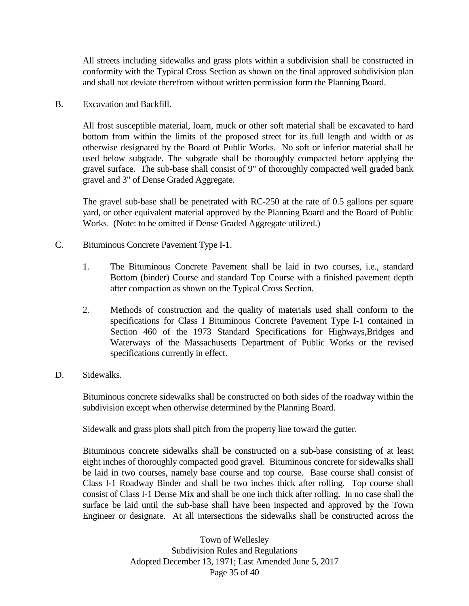All streets including sidewalks and grass plots within a subdivision shall be constructed in conformity with the Typical Cross Section as shown on the final approved subdivision plan and shall not deviate therefrom without written permission form the Planning Board.

B. Excavation and Backfill.

All frost susceptible material, loam, muck or other soft material shall be excavated to hard bottom from within the limits of the proposed street for its full length and width or as otherwise designated by the Board of Public Works. No soft or inferior material shall be used below subgrade. The subgrade shall be thoroughly compacted before applying the gravel surface. The sub-base shall consist of 9" of thoroughly compacted well graded bank gravel and 3" of Dense Graded Aggregate.

The gravel sub-base shall be penetrated with RC-250 at the rate of 0.5 gallons per square yard, or other equivalent material approved by the Planning Board and the Board of Public Works. (Note: to be omitted if Dense Graded Aggregate utilized.)

- C. Bituminous Concrete Pavement Type I-1.
	- 1. The Bituminous Concrete Pavement shall be laid in two courses, i.e., standard Bottom (binder) Course and standard Top Course with a finished pavement depth after compaction as shown on the Typical Cross Section.
	- 2. Methods of construction and the quality of materials used shall conform to the specifications for Class I Bituminous Concrete Pavement Type I-1 contained in Section 460 of the 1973 Standard Specifications for Highways,Bridges and Waterways of the Massachusetts Department of Public Works or the revised specifications currently in effect.
- D. Sidewalks.

Bituminous concrete sidewalks shall be constructed on both sides of the roadway within the subdivision except when otherwise determined by the Planning Board.

Sidewalk and grass plots shall pitch from the property line toward the gutter.

Bituminous concrete sidewalks shall be constructed on a sub-base consisting of at least eight inches of thoroughly compacted good gravel. Bituminous concrete for sidewalks shall be laid in two courses, namely base course and top course. Base course shall consist of Class I-1 Roadway Binder and shall be two inches thick after rolling. Top course shall consist of Class I-1 Dense Mix and shall be one inch thick after rolling. In no case shall the surface be laid until the sub-base shall have been inspected and approved by the Town Engineer or designate. At all intersections the sidewalks shall be constructed across the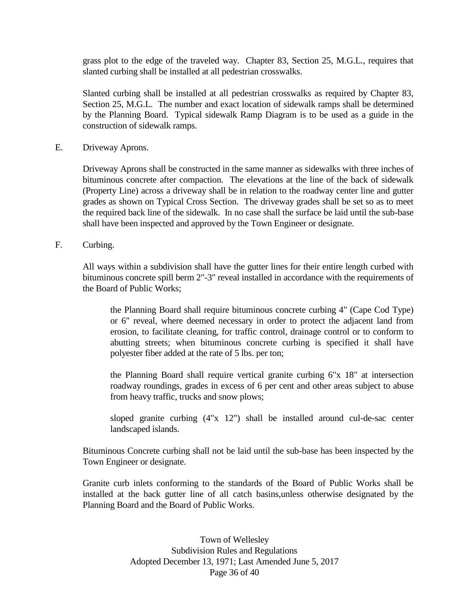grass plot to the edge of the traveled way. Chapter 83, Section 25, M.G.L., requires that slanted curbing shall be installed at all pedestrian crosswalks.

Slanted curbing shall be installed at all pedestrian crosswalks as required by Chapter 83, Section 25, M.G.L. The number and exact location of sidewalk ramps shall be determined by the Planning Board. Typical sidewalk Ramp Diagram is to be used as a guide in the construction of sidewalk ramps.

E. Driveway Aprons.

Driveway Aprons shall be constructed in the same manner as sidewalks with three inches of bituminous concrete after compaction. The elevations at the line of the back of sidewalk (Property Line) across a driveway shall be in relation to the roadway center line and gutter grades as shown on Typical Cross Section. The driveway grades shall be set so as to meet the required back line of the sidewalk. In no case shall the surface be laid until the sub-base shall have been inspected and approved by the Town Engineer or designate.

F. Curbing.

All ways within a subdivision shall have the gutter lines for their entire length curbed with bituminous concrete spill berm 2"-3" reveal installed in accordance with the requirements of the Board of Public Works;

the Planning Board shall require bituminous concrete curbing 4" (Cape Cod Type) or 6" reveal, where deemed necessary in order to protect the adjacent land from erosion, to facilitate cleaning, for traffic control, drainage control or to conform to abutting streets; when bituminous concrete curbing is specified it shall have polyester fiber added at the rate of 5 lbs. per ton;

the Planning Board shall require vertical granite curbing 6"x 18" at intersection roadway roundings, grades in excess of 6 per cent and other areas subject to abuse from heavy traffic, trucks and snow plows;

sloped granite curbing (4"x 12") shall be installed around cul-de-sac center landscaped islands.

Bituminous Concrete curbing shall not be laid until the sub-base has been inspected by the Town Engineer or designate.

Granite curb inlets conforming to the standards of the Board of Public Works shall be installed at the back gutter line of all catch basins,unless otherwise designated by the Planning Board and the Board of Public Works.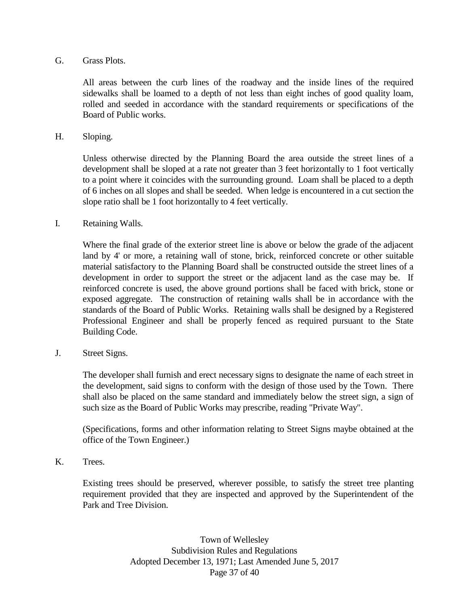#### G. Grass Plots.

All areas between the curb lines of the roadway and the inside lines of the required sidewalks shall be loamed to a depth of not less than eight inches of good quality loam, rolled and seeded in accordance with the standard requirements or specifications of the Board of Public works.

H. Sloping.

Unless otherwise directed by the Planning Board the area outside the street lines of a development shall be sloped at a rate not greater than 3 feet horizontally to 1 foot vertically to a point where it coincides with the surrounding ground. Loam shall be placed to a depth of 6 inches on all slopes and shall be seeded. When ledge is encountered in a cut section the slope ratio shall be 1 foot horizontally to 4 feet vertically.

I. Retaining Walls.

Where the final grade of the exterior street line is above or below the grade of the adjacent land by 4' or more, a retaining wall of stone, brick, reinforced concrete or other suitable material satisfactory to the Planning Board shall be constructed outside the street lines of a development in order to support the street or the adjacent land as the case may be. If reinforced concrete is used, the above ground portions shall be faced with brick, stone or exposed aggregate. The construction of retaining walls shall be in accordance with the standards of the Board of Public Works. Retaining walls shall be designed by a Registered Professional Engineer and shall be properly fenced as required pursuant to the State Building Code.

J. Street Signs.

The developer shall furnish and erect necessary signs to designate the name of each street in the development, said signs to conform with the design of those used by the Town. There shall also be placed on the same standard and immediately below the street sign, a sign of such size as the Board of Public Works may prescribe, reading "Private Way".

(Specifications, forms and other information relating to Street Signs maybe obtained at the office of the Town Engineer.)

K. Trees.

Existing trees should be preserved, wherever possible, to satisfy the street tree planting requirement provided that they are inspected and approved by the Superintendent of the Park and Tree Division.

> Town of Wellesley Subdivision Rules and Regulations Adopted December 13, 1971; Last Amended June 5, 2017 Page 37 of 40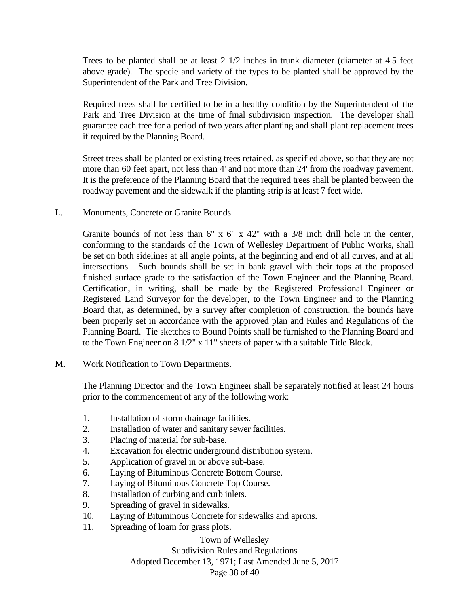Trees to be planted shall be at least 2 1/2 inches in trunk diameter (diameter at 4.5 feet above grade). The specie and variety of the types to be planted shall be approved by the Superintendent of the Park and Tree Division.

Required trees shall be certified to be in a healthy condition by the Superintendent of the Park and Tree Division at the time of final subdivision inspection. The developer shall guarantee each tree for a period of two years after planting and shall plant replacement trees if required by the Planning Board.

Street trees shall be planted or existing trees retained, as specified above, so that they are not more than 60 feet apart, not less than 4' and not more than 24' from the roadway pavement. It is the preference of the Planning Board that the required trees shall be planted between the roadway pavement and the sidewalk if the planting strip is at least 7 feet wide.

L. Monuments, Concrete or Granite Bounds.

Granite bounds of not less than  $6''$  x  $6''$  x  $42''$  with a  $3/8$  inch drill hole in the center, conforming to the standards of the Town of Wellesley Department of Public Works, shall be set on both sidelines at all angle points, at the beginning and end of all curves, and at all intersections. Such bounds shall be set in bank gravel with their tops at the proposed finished surface grade to the satisfaction of the Town Engineer and the Planning Board. Certification, in writing, shall be made by the Registered Professional Engineer or Registered Land Surveyor for the developer, to the Town Engineer and to the Planning Board that, as determined, by a survey after completion of construction, the bounds have been properly set in accordance with the approved plan and Rules and Regulations of the Planning Board. Tie sketches to Bound Points shall be furnished to the Planning Board and to the Town Engineer on 8 1/2" x 11" sheets of paper with a suitable Title Block.

M. Work Notification to Town Departments.

The Planning Director and the Town Engineer shall be separately notified at least 24 hours prior to the commencement of any of the following work:

- 1. Installation of storm drainage facilities.
- 2. Installation of water and sanitary sewer facilities.
- 3. Placing of material for sub-base.
- 4. Excavation for electric underground distribution system.
- 5. Application of gravel in or above sub-base.
- 6. Laying of Bituminous Concrete Bottom Course.
- 7. Laying of Bituminous Concrete Top Course.
- 8. Installation of curbing and curb inlets.
- 9. Spreading of gravel in sidewalks.
- 10. Laying of Bituminous Concrete for sidewalks and aprons.
- 11. Spreading of loam for grass plots.

Town of Wellesley

Subdivision Rules and Regulations

Adopted December 13, 1971; Last Amended June 5, 2017

Page 38 of 40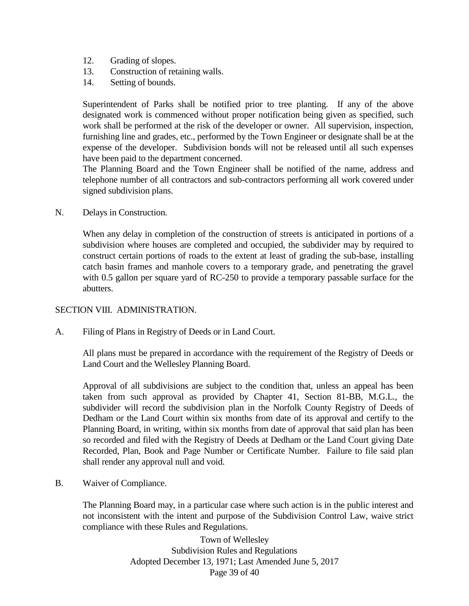- 12. Grading of slopes.
- 13. Construction of retaining walls.
- 14. Setting of bounds.

Superintendent of Parks shall be notified prior to tree planting. If any of the above designated work is commenced without proper notification being given as specified, such work shall be performed at the risk of the developer or owner. All supervision, inspection, furnishing line and grades, etc., performed by the Town Engineer or designate shall be at the expense of the developer. Subdivision bonds will not be released until all such expenses have been paid to the department concerned.

The Planning Board and the Town Engineer shall be notified of the name, address and telephone number of all contractors and sub-contractors performing all work covered under signed subdivision plans.

N. Delays in Construction.

When any delay in completion of the construction of streets is anticipated in portions of a subdivision where houses are completed and occupied, the subdivider may by required to construct certain portions of roads to the extent at least of grading the sub-base, installing catch basin frames and manhole covers to a temporary grade, and penetrating the gravel with 0.5 gallon per square yard of RC-250 to provide a temporary passable surface for the abutters.

#### SECTION VIII. ADMINISTRATION.

A. Filing of Plans in Registry of Deeds or in Land Court.

All plans must be prepared in accordance with the requirement of the Registry of Deeds or Land Court and the Wellesley Planning Board.

Approval of all subdivisions are subject to the condition that, unless an appeal has been taken from such approval as provided by Chapter 41, Section 81-BB, M.G.L., the subdivider will record the subdivision plan in the Norfolk County Registry of Deeds of Dedham or the Land Court within six months from date of its approval and certify to the Planning Board, in writing, within six months from date of approval that said plan has been so recorded and filed with the Registry of Deeds at Dedham or the Land Court giving Date Recorded, Plan, Book and Page Number or Certificate Number. Failure to file said plan shall render any approval null and void.

B. Waiver of Compliance.

The Planning Board may, in a particular case where such action is in the public interest and not inconsistent with the intent and purpose of the Subdivision Control Law, waive strict compliance with these Rules and Regulations.

> Town of Wellesley Subdivision Rules and Regulations Adopted December 13, 1971; Last Amended June 5, 2017 Page 39 of 40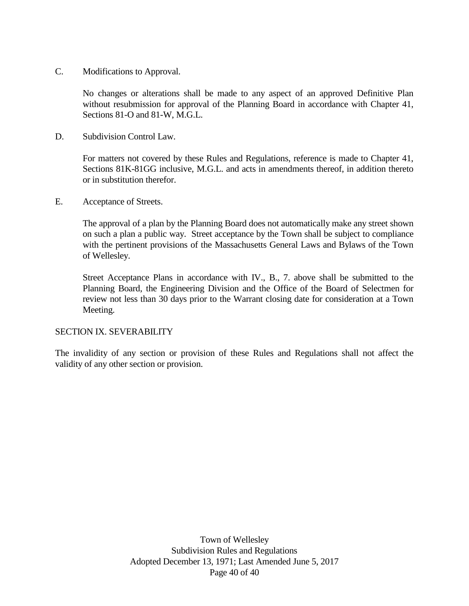C. Modifications to Approval.

No changes or alterations shall be made to any aspect of an approved Definitive Plan without resubmission for approval of the Planning Board in accordance with Chapter 41, Sections 81-O and 81-W, M.G.L.

D. Subdivision Control Law.

For matters not covered by these Rules and Regulations, reference is made to Chapter 41, Sections 81K-81GG inclusive, M.G.L. and acts in amendments thereof, in addition thereto or in substitution therefor.

E. Acceptance of Streets.

The approval of a plan by the Planning Board does not automatically make any street shown on such a plan a public way. Street acceptance by the Town shall be subject to compliance with the pertinent provisions of the Massachusetts General Laws and Bylaws of the Town of Wellesley.

Street Acceptance Plans in accordance with IV., B., 7. above shall be submitted to the Planning Board, the Engineering Division and the Office of the Board of Selectmen for review not less than 30 days prior to the Warrant closing date for consideration at a Town Meeting.

#### SECTION IX. SEVERABILITY

The invalidity of any section or provision of these Rules and Regulations shall not affect the validity of any other section or provision.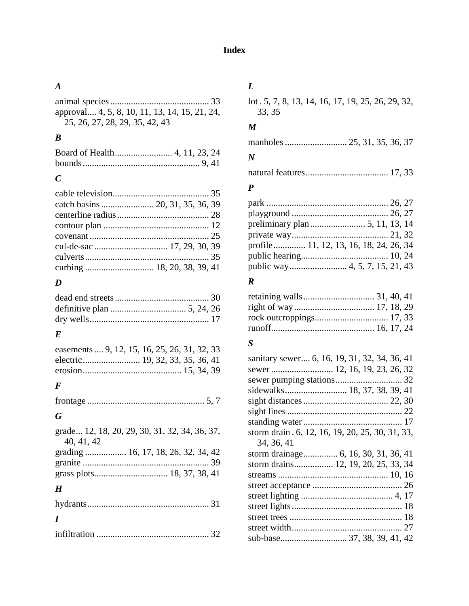## *A*

| approval 4, 5, 8, 10, 11, 13, 14, 15, 21, 24, |  |
|-----------------------------------------------|--|
| 25, 26, 27, 28, 29, 35, 42, 43                |  |

## *B*

## *C*

## *D*

## *E*

| easements  9, 12, 15, 16, 25, 26, 31, 32, 33 |  |  |  |
|----------------------------------------------|--|--|--|
|                                              |  |  |  |
|                                              |  |  |  |
|                                              |  |  |  |

## *F*

```
frontage ................................................... 5, 7
```
## *G*

|            | grade 12, 18, 20, 29, 30, 31, 32, 34, 36, 37, |
|------------|-----------------------------------------------|
| 40, 41, 42 |                                               |
|            | grading  16, 17, 18, 26, 32, 34, 42           |
|            |                                               |
|            |                                               |
| H          |                                               |

| $\boldsymbol{I}$ |  |
|------------------|--|
|                  |  |

## *L*

lot . 5, 7, 8, 13, 14, 16, 17, 19, 25, 26, 29, 32, 33, 35

#### *M*

|--|--|--|--|--|--|

## *N*

natural features.................................... 17, 33

## *P*

| profile 11, 12, 13, 16, 18, 24, 26, 34 |  |
|----------------------------------------|--|
|                                        |  |
|                                        |  |

## *R*

## *S*

| sanitary sewer 6, 16, 19, 31, 32, 34, 36, 41     |
|--------------------------------------------------|
|                                                  |
|                                                  |
| sidewalks 18, 37, 38, 39, 41                     |
|                                                  |
|                                                  |
|                                                  |
| storm drain . 6, 12, 16, 19, 20, 25, 30, 31, 33, |
| 34, 36, 41                                       |
|                                                  |
| storm drains 12, 19, 20, 25, 33, 34              |
|                                                  |
|                                                  |
|                                                  |
|                                                  |
|                                                  |
|                                                  |
|                                                  |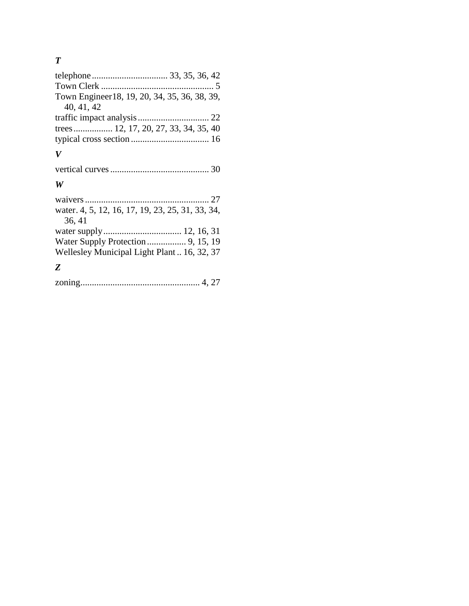# *T*

| Town Engineer 18, 19, 20, 34, 35, 36, 38, 39, |  |
|-----------------------------------------------|--|
| 40, 41, 42                                    |  |
|                                               |  |
| trees 12, 17, 20, 27, 33, 34, 35, 40          |  |
|                                               |  |
|                                               |  |

# *V*

## *W*

| water. 4, 5, 12, 16, 17, 19, 23, 25, 31, 33, 34, |  |
|--------------------------------------------------|--|
| 36, 41                                           |  |
|                                                  |  |
|                                                  |  |
| Wellesley Municipal Light Plant  16, 32, 37      |  |
|                                                  |  |

# *Z*